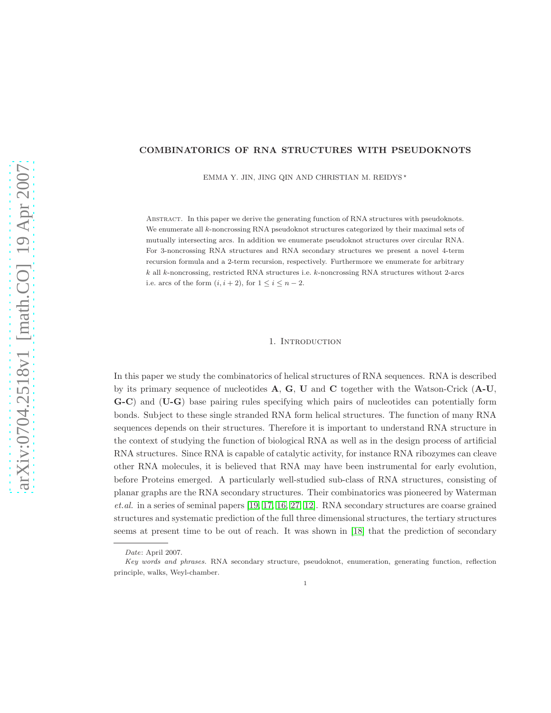# COMBINATORICS OF RNA STRUCTURES WITH PSEUDOKNOTS

EMMA Y. JIN, JING QIN AND CHRISTIAN M. REIDYS  $^\star$ 

Abstract. In this paper we derive the generating function of RNA structures with pseudoknots. We enumerate all k-noncrossing RNA pseudoknot structures categorized by their maximal sets of mutually intersecting arcs. In addition we enumerate pseudoknot structures over circular RNA. For 3-noncrossing RNA structures and RNA secondary structures we present a novel 4-term recursion formula and a 2-term recursion, respectively. Furthermore we enumerate for arbitrary k all k-noncrossing, restricted RNA structures i.e. k-noncrossing RNA structures without 2-arcs i.e. arcs of the form  $(i, i + 2)$ , for  $1 \le i \le n - 2$ .

#### 1. Introduction

In this paper we study the combinatorics of helical structures of RNA sequences. RNA is described by its primary sequence of nucleotides  $A, G, U$  and  $C$  together with the Watson-Crick  $(A-U,$ G-C) and (U-G) base pairing rules specifying which pairs of nucleotides can potentially form bonds. Subject to these single stranded RNA form helical structures. The function of many RNA sequences depends on their structures. Therefore it is important to understand RNA structure in the context of studying the function of biological RNA as well as in the design process of artificial RNA structures. Since RNA is capable of catalytic activity, for instance RNA ribozymes can cleave other RNA molecules, it is believed that RNA may have been instrumental for early evolution, before Proteins emerged. A particularly well-studied sub-class of RNA structures, consisting of planar graphs are the RNA secondary structures. Their combinatorics was pioneered by Waterman et.al. in a series of seminal papers [\[19,](#page-23-0) [17,](#page-23-1) [16,](#page-23-2) [27,](#page-24-0) [12\]](#page-23-3). RNA secondary structures are coarse grained structures and systematic prediction of the full three dimensional structures, the tertiary structures seems at present time to be out of reach. It was shown in [\[18\]](#page-23-4) that the prediction of secondary

*Date*: April 2007.

*Key words and phrases.* RNA secondary structure, pseudoknot, enumeration, generating function, reflection principle, walks, Weyl-chamber.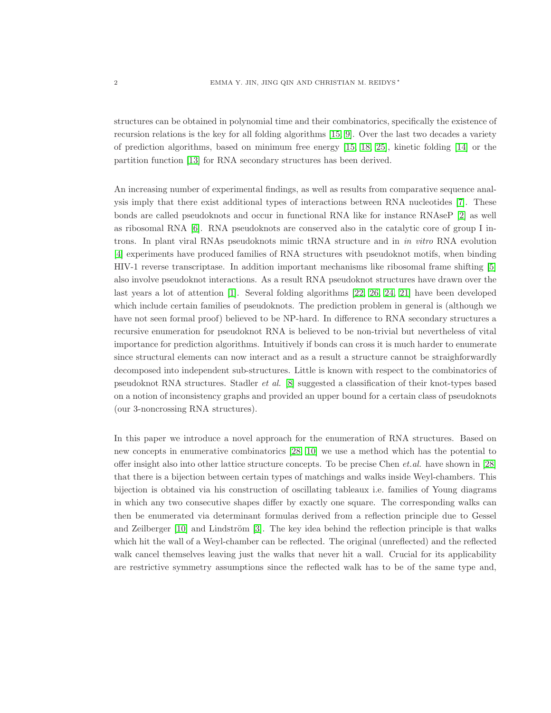structures can be obtained in polynomial time and their combinatorics, specifically the existence of recursion relations is the key for all folding algorithms [\[15,](#page-23-5) [9\]](#page-23-6). Over the last two decades a variety of prediction algorithms, based on minimum free energy [\[15,](#page-23-5) [18,](#page-23-4) [25\]](#page-24-1), kinetic folding [\[14\]](#page-23-7) or the partition function [\[13\]](#page-23-8) for RNA secondary structures has been derived.

An increasing number of experimental findings, as well as results from comparative sequence analysis imply that there exist additional types of interactions between RNA nucleotides [\[7\]](#page-23-9). These bonds are called pseudoknots and occur in functional RNA like for instance RNAseP [\[2\]](#page-23-10) as well as ribosomal RNA [\[6\]](#page-23-11). RNA pseudoknots are conserved also in the catalytic core of group I introns. In plant viral RNAs pseudoknots mimic tRNA structure and in in vitro RNA evolution [\[4\]](#page-23-12) experiments have produced families of RNA structures with pseudoknot motifs, when binding HIV-1 reverse transcriptase. In addition important mechanisms like ribosomal frame shifting [\[5\]](#page-23-13) also involve pseudoknot interactions. As a result RNA pseudoknot structures have drawn over the last years a lot of attention [\[1\]](#page-23-14). Several folding algorithms [\[22,](#page-24-2) [26,](#page-24-3) [24,](#page-24-4) [21\]](#page-24-5) have been developed which include certain families of pseudoknots. The prediction problem in general is (although we have not seen formal proof) believed to be NP-hard. In difference to RNA secondary structures a recursive enumeration for pseudoknot RNA is believed to be non-trivial but nevertheless of vital importance for prediction algorithms. Intuitively if bonds can cross it is much harder to enumerate since structural elements can now interact and as a result a structure cannot be straighforwardly decomposed into independent sub-structures. Little is known with respect to the combinatorics of pseudoknot RNA structures. Stadler et al. [\[8\]](#page-23-15) suggested a classification of their knot-types based on a notion of inconsistency graphs and provided an upper bound for a certain class of pseudoknots (our 3-noncrossing RNA structures).

In this paper we introduce a novel approach for the enumeration of RNA structures. Based on new concepts in enumerative combinatorics [\[28,](#page-24-6) [10\]](#page-23-16) we use a method which has the potential to offer insight also into other lattice structure concepts. To be precise Chen *et.al.* have shown in  $[28]$ that there is a bijection between certain types of matchings and walks inside Weyl-chambers. This bijection is obtained via his construction of oscillating tableaux i.e. families of Young diagrams in which any two consecutive shapes differ by exactly one square. The corresponding walks can then be enumerated via determinant formulas derived from a reflection principle due to Gessel and Zeilberger  $[10]$  and Lindström  $[3]$ . The key idea behind the reflection principle is that walks which hit the wall of a Weyl-chamber can be reflected. The original (unreflected) and the reflected walk cancel themselves leaving just the walks that never hit a wall. Crucial for its applicability are restrictive symmetry assumptions since the reflected walk has to be of the same type and,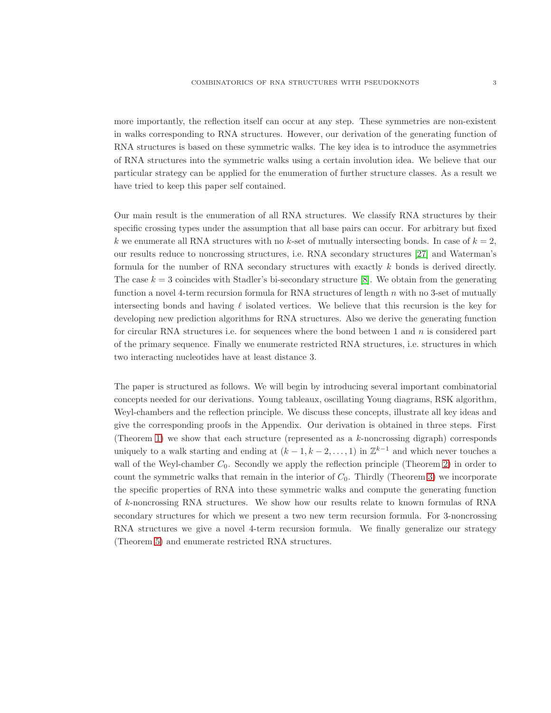more importantly, the reflection itself can occur at any step. These symmetries are non-existent in walks corresponding to RNA structures. However, our derivation of the generating function of RNA structures is based on these symmetric walks. The key idea is to introduce the asymmetries of RNA structures into the symmetric walks using a certain involution idea. We believe that our particular strategy can be applied for the enumeration of further structure classes. As a result we have tried to keep this paper self contained.

Our main result is the enumeration of all RNA structures. We classify RNA structures by their specific crossing types under the assumption that all base pairs can occur. For arbitrary but fixed k we enumerate all RNA structures with no k-set of mutually intersecting bonds. In case of  $k = 2$ , our results reduce to noncrossing structures, i.e. RNA secondary structures [\[27\]](#page-24-0) and Waterman's formula for the number of RNA secondary structures with exactly k bonds is derived directly. The case  $k = 3$  coincides with Stadler's bi-secondary structure [\[8\]](#page-23-15). We obtain from the generating function a novel 4-term recursion formula for RNA structures of length n with no 3-set of mutually intersecting bonds and having  $\ell$  isolated vertices. We believe that this recursion is the key for developing new prediction algorithms for RNA structures. Also we derive the generating function for circular RNA structures i.e. for sequences where the bond between 1 and  $n$  is considered part of the primary sequence. Finally we enumerate restricted RNA structures, i.e. structures in which two interacting nucleotides have at least distance 3.

The paper is structured as follows. We will begin by introducing several important combinatorial concepts needed for our derivations. Young tableaux, oscillating Young diagrams, RSK algorithm, Weyl-chambers and the reflection principle. We discuss these concepts, illustrate all key ideas and give the corresponding proofs in the Appendix. Our derivation is obtained in three steps. First (Theorem [1\)](#page-6-0) we show that each structure (represented as a k-noncrossing digraph) corresponds uniquely to a walk starting and ending at  $(k-1, k-2, \ldots, 1)$  in  $\mathbb{Z}^{k-1}$  and which never touches a wall of the Weyl-chamber  $C_0$ . Secondly we apply the reflection principle (Theorem [2\)](#page-8-0) in order to count the symmetric walks that remain in the interior of  $C_0$ . Thirdly (Theorem [3\)](#page-9-0) we incorporate the specific properties of RNA into these symmetric walks and compute the generating function of k-noncrossing RNA structures. We show how our results relate to known formulas of RNA secondary structures for which we present a two new term recursion formula. For 3-noncrossing RNA structures we give a novel 4-term recursion formula. We finally generalize our strategy (Theorem [5\)](#page-15-0) and enumerate restricted RNA structures.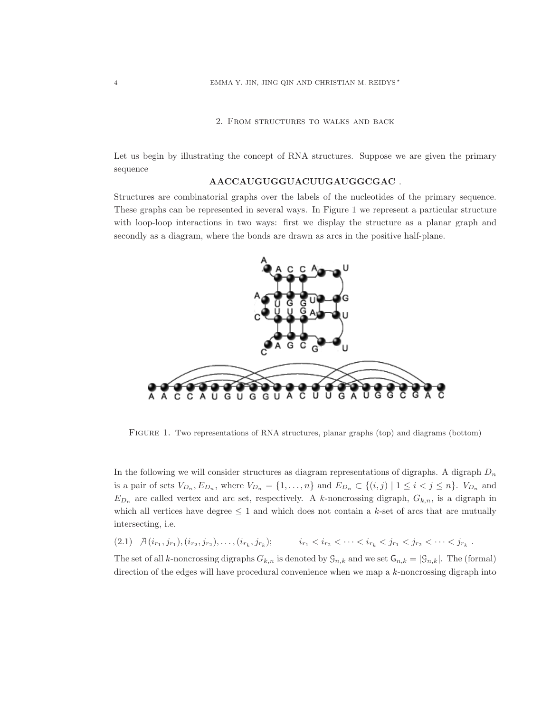# 2. From structures to walks and back

Let us begin by illustrating the concept of RNA structures. Suppose we are given the primary sequence

# AACCAUGUGGUACUUGAUGGCGAC .

Structures are combinatorial graphs over the labels of the nucleotides of the primary sequence. These graphs can be represented in several ways. In Figure 1 we represent a particular structure with loop-loop interactions in two ways: first we display the structure as a planar graph and secondly as a diagram, where the bonds are drawn as arcs in the positive half-plane.



<span id="page-3-0"></span>Figure 1. Two representations of RNA structures, planar graphs (top) and diagrams (bottom)

In the following we will consider structures as diagram representations of digraphs. A digraph  $D_n$ is a pair of sets  $V_{D_n}, E_{D_n}$ , where  $V_{D_n} = \{1, \ldots, n\}$  and  $E_{D_n} \subset \{(i,j) \mid 1 \leq i < j \leq n\}$ .  $V_{D_n}$  and  $E_{D_n}$  are called vertex and arc set, respectively. A k-noncrossing digraph,  $G_{k,n}$ , is a digraph in which all vertices have degree  $\leq 1$  and which does not contain a k-set of arcs that are mutually intersecting, i.e.

$$
(2.1) \quad \mathcal{A}(i_{r_1}, j_{r_1}), (i_{r_2}, j_{r_2}), \dots, (i_{r_k}, j_{r_k}); \qquad i_{r_1} < i_{r_2} < \dots < i_{r_k} < j_{r_1} < j_{r_2} < \dots < j_{r_k} \; .
$$

The set of all k-noncrossing digraphs  $G_{k,n}$  is denoted by  $\mathcal{G}_{n,k}$  and we set  $\mathcal{G}_{n,k} = |\mathcal{G}_{n,k}|$ . The (formal) direction of the edges will have procedural convenience when we map a  $k$ -noncrossing digraph into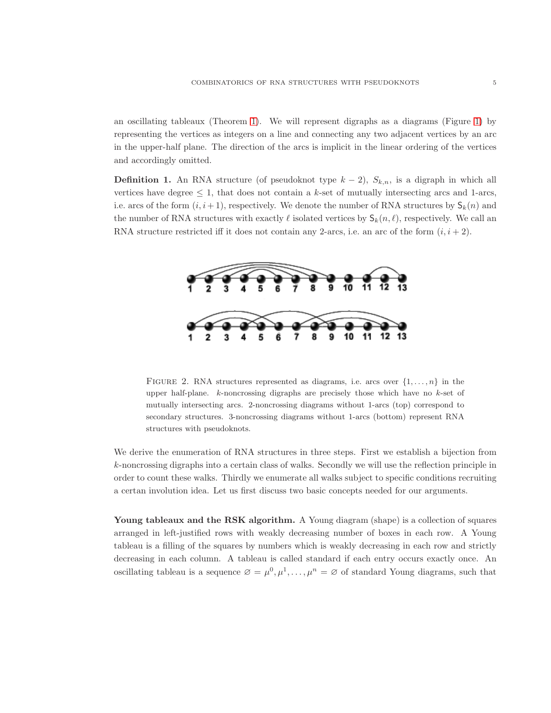an oscillating tableaux (Theorem [1\)](#page-6-0). We will represent digraphs as a diagrams (Figure [1\)](#page-3-0) by representing the vertices as integers on a line and connecting any two adjacent vertices by an arc in the upper-half plane. The direction of the arcs is implicit in the linear ordering of the vertices and accordingly omitted.

**Definition 1.** An RNA structure (of pseudoknot type  $k-2$ ),  $S_{k,n}$ , is a digraph in which all vertices have degree  $\leq 1$ , that does not contain a k-set of mutually intersecting arcs and 1-arcs, i.e. arcs of the form  $(i, i + 1)$ , respectively. We denote the number of RNA structures by  $\mathsf{S}_k(n)$  and the number of RNA structures with exactly  $\ell$  isolated vertices by  $S_k(n, \ell)$ , respectively. We call an RNA structure restricted iff it does not contain any 2-arcs, i.e. an arc of the form  $(i, i + 2)$ .



FIGURE 2. RNA structures represented as diagrams, i.e. arcs over  $\{1, \ldots, n\}$  in the upper half-plane.  $k$ -noncrossing digraphs are precisely those which have no  $k$ -set of mutually intersecting arcs. 2-noncrossing diagrams without 1-arcs (top) correspond to secondary structures. 3-noncrossing diagrams without 1-arcs (bottom) represent RNA structures with pseudoknots.

We derive the enumeration of RNA structures in three steps. First we establish a bijection from k-noncrossing digraphs into a certain class of walks. Secondly we will use the reflection principle in order to count these walks. Thirdly we enumerate all walks subject to specific conditions recruiting a certan involution idea. Let us first discuss two basic concepts needed for our arguments.

Young tableaux and the RSK algorithm. A Young diagram (shape) is a collection of squares arranged in left-justified rows with weakly decreasing number of boxes in each row. A Young tableau is a filling of the squares by numbers which is weakly decreasing in each row and strictly decreasing in each column. A tableau is called standard if each entry occurs exactly once. An oscillating tableau is a sequence  $\varnothing = \mu^0, \mu^1, \ldots, \mu^n = \varnothing$  of standard Young diagrams, such that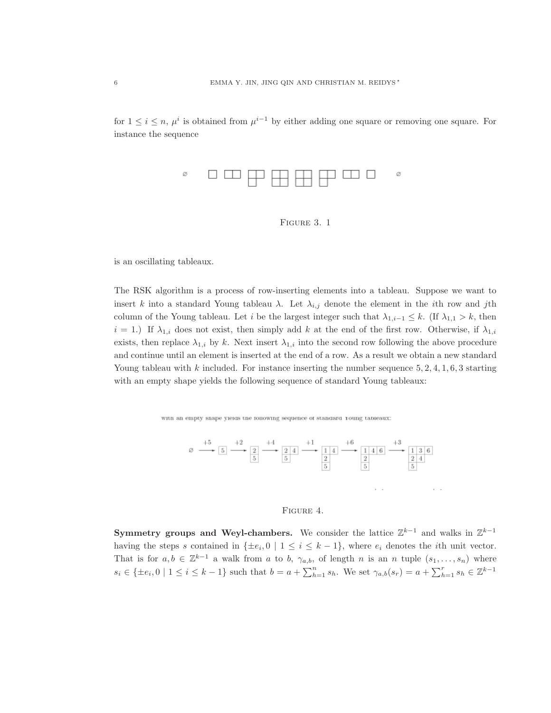for  $1 \leq i \leq n$ ,  $\mu^{i}$  is obtained from  $\mu^{i-1}$  by either adding one square or removing one square. For instance the sequence





is an oscillating tableaux.

The RSK algorithm is a process of row-inserting elements into a tableau. Suppose we want to insert k into a standard Young tableau  $\lambda$ . Let  $\lambda_{i,j}$  denote the element in the *i*th row and *j*th column of the Young tableau. Let i be the largest integer such that  $\lambda_{1,i-1} \leq k$ . (If  $\lambda_{1,1} > k$ , then  $i = 1$ .) If  $\lambda_{1,i}$  does not exist, then simply add k at the end of the first row. Otherwise, if  $\lambda_{1,i}$ exists, then replace  $\lambda_{1,i}$  by k. Next insert  $\lambda_{1,i}$  into the second row following the above procedure and continue until an element is inserted at the end of a row. As a result we obtain a new standard Young tableau with k included. For instance inserting the number sequence  $5, 2, 4, 1, 6, 3$  starting with an empty shape yields the following sequence of standard Young tableaux:

with an empty shape yields the following sequence of standard roung tableaux:



# Figure 4.

Symmetry groups and Weyl-chambers. We consider the lattice  $\mathbb{Z}^{k-1}$  and walks in  $\mathbb{Z}^{k-1}$ having the steps s contained in  $\{\pm e_i, 0 \mid 1 \leq i \leq k-1\}$ , where  $e_i$  denotes the *i*th unit vector. That is for  $a, b \in \mathbb{Z}^{k-1}$  a walk from a to b,  $\gamma_{a,b}$ , of length n is an n tuple  $(s_1, \ldots, s_n)$  where  $s_i \in {\pm e_i, 0 \mid 1 \le i \le k-1}$  such that  $b = a + \sum_{h=1}^n s_h$ . We set  $\gamma_{a,b}(s_r) = a + \sum_{h=1}^r s_h \in \mathbb{Z}^{k-1}$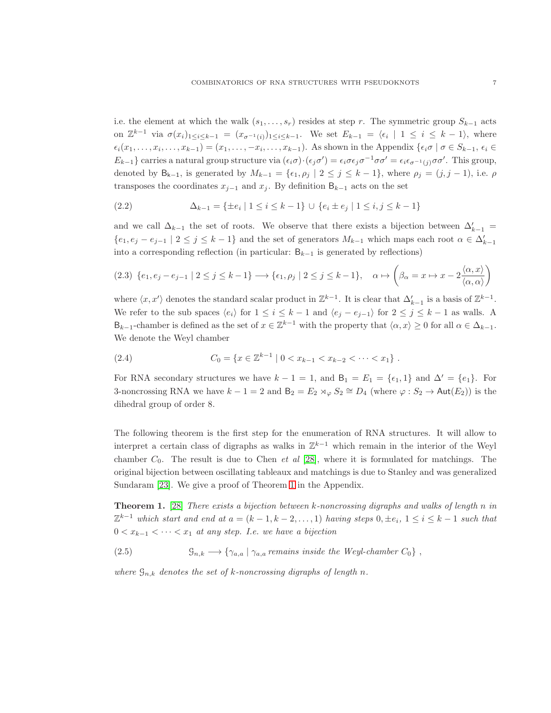i.e. the element at which the walk  $(s_1, \ldots, s_r)$  resides at step r. The symmetric group  $S_{k-1}$  acts on  $\mathbb{Z}^{k-1}$  via  $\sigma(x_i)_{1\leq i\leq k-1} = (x_{\sigma^{-1}(i)})_{1\leq i\leq k-1}$ . We set  $E_{k-1} = \langle \epsilon_i | 1 \leq i \leq k-1 \rangle$ , where  $\epsilon_i(x_1,\ldots,x_i,\ldots,x_{k-1})=(x_1,\ldots,-x_i,\ldots,x_{k-1}).$  As shown in the Appendix  $\{\epsilon_i\sigma \mid \sigma \in S_{k-1}, \epsilon_i \in S_{k-1}, \sigma_i\}$  $E_{k-1}$ } carries a natural group structure via  $(\epsilon_i \sigma) \cdot (\epsilon_j \sigma') = \epsilon_i \sigma \epsilon_j \sigma^{-1} \sigma \sigma' = \epsilon_i \epsilon_{\sigma^{-1}(j)} \sigma \sigma'$ . This group, denoted by  $B_{k-1}$ , is generated by  $M_{k-1} = {\epsilon_1, \rho_j \mid 2 \leq j \leq k-1}$ , where  $\rho_j = (j, j-1)$ , i.e.  $\rho$ transposes the coordinates  $x_{j-1}$  and  $x_j$ . By definition  $B_{k-1}$  acts on the set

(2.2) 
$$
\Delta_{k-1} = \{ \pm e_i \mid 1 \le i \le k-1 \} \cup \{ e_i \pm e_j \mid 1 \le i, j \le k-1 \}
$$

and we call  $\Delta_{k-1}$  the set of roots. We observe that there exists a bijection between  $\Delta'_{k-1}$  =  $\{e_1,e_j-e_{j-1}\mid 2\leq j\leq k-1\}$  and the set of generators  $M_{k-1}$  which maps each root  $\alpha\in\Delta'_{k-1}$ into a corresponding reflection (in particular:  $B_{k-1}$  is generated by reflections)

<span id="page-6-2"></span>
$$
(2.3) \ \{e_1, e_j - e_{j-1} \mid 2 \le j \le k-1\} \longrightarrow \{\epsilon_1, \rho_j \mid 2 \le j \le k-1\}, \quad \alpha \mapsto \left(\beta_\alpha = x \mapsto x - 2\frac{\langle \alpha, x \rangle}{\langle \alpha, \alpha \rangle}\right)
$$

where  $\langle x, x' \rangle$  denotes the standard scalar product in  $\mathbb{Z}^{k-1}$ . It is clear that  $\Delta'_{k-1}$  is a basis of  $\mathbb{Z}^{k-1}$ . We refer to the sub spaces  $\langle e_i \rangle$  for  $1 \le i \le k-1$  and  $\langle e_i - e_{i-1} \rangle$  for  $2 \le j \le k-1$  as walls. A  $B_{k-1}$ -chamber is defined as the set of  $x \in \mathbb{Z}^{k-1}$  with the property that  $\langle \alpha, x \rangle \geq 0$  for all  $\alpha \in \Delta_{k-1}$ . We denote the Weyl chamber

<span id="page-6-1"></span>(2.4) 
$$
C_0 = \{x \in \mathbb{Z}^{k-1} \mid 0 < x_{k-1} < x_{k-2} < \cdots < x_1\}.
$$

For RNA secondary structures we have  $k - 1 = 1$ , and  $B_1 = E_1 = \{ \epsilon_1, 1 \}$  and  $\Delta' = \{ \epsilon_1 \}$ . For 3-noncrossing RNA we have  $k-1=2$  and  $B_2 = E_2 \rtimes_{\varphi} S_2 \cong D_4$  (where  $\varphi : S_2 \to \text{Aut}(E_2)$ ) is the dihedral group of order 8.

The following theorem is the first step for the enumeration of RNA structures. It will allow to interpret a certain class of digraphs as walks in  $\mathbb{Z}^{k-1}$  which remain in the interior of the Weyl chamber  $C_0$ . The result is due to Chen *et al* [\[28\]](#page-24-6), where it is formulated for matchings. The original bijection between oscillating tableaux and matchings is due to Stanley and was generalized Sundaram [\[23\]](#page-24-7). We give a proof of Theorem [1](#page-6-0) in the Appendix.

<span id="page-6-0"></span>**Theorem 1.** [\[28\]](#page-24-6) There exists a bijection between k-noncrossing digraphs and walks of length n in  $\mathbb{Z}^{k-1}$  which start and end at  $a = (k-1, k-2, \ldots, 1)$  having steps  $0, \pm e_i$ ,  $1 \le i \le k-1$  such that  $0 < x_{k-1} < \cdots < x_1$  at any step. I.e. we have a bijection

(2.5)  $\mathcal{G}_{n,k} \longrightarrow \{ \gamma_{a,a} \mid \gamma_{a,a}$  remains inside the Weyl-chamber  $C_0 \}$ ,

where  $\mathcal{G}_{n,k}$  denotes the set of k-noncrossing digraphs of length n.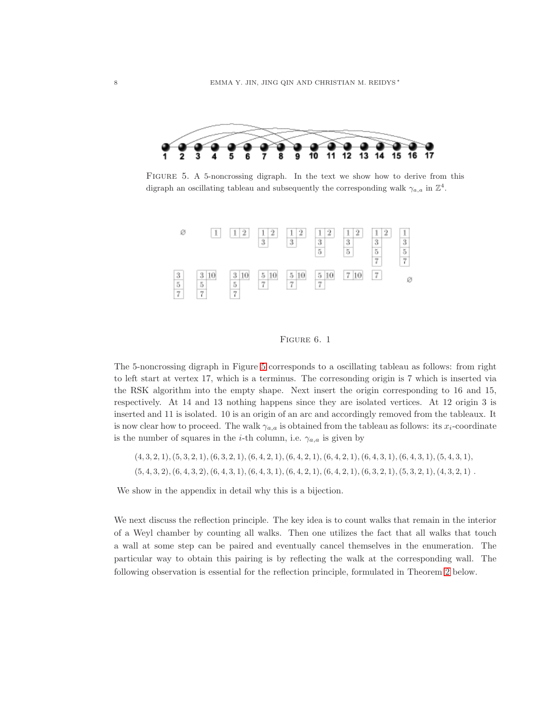

<span id="page-7-0"></span>FIGURE 5. A 5-noncrossing digraph. In the text we show how to derive from this digraph an oscillating tableau and subsequently the corresponding walk  $\gamma_{a,a}$  in  $\mathbb{Z}^4$ .



#### FIGURE 6. 1

The 5-noncrossing digraph in Figure [5](#page-7-0) corresponds to a oscillating tableau as follows: from right to left start at vertex 17, which is a terminus. The corresonding origin is 7 which is inserted via the RSK algorithm into the empty shape. Next insert the origin corresponding to 16 and 15, respectively. At 14 and 13 nothing happens since they are isolated vertices. At 12 origin 3 is inserted and 11 is isolated. 10 is an origin of an arc and accordingly removed from the tableaux. It is now clear how to proceed. The walk  $\gamma_{a,a}$  is obtained from the tableau as follows: its  $x_i$ -coordinate is the number of squares in the *i*-th column, i.e.  $\gamma_{a,a}$  is given by

 $(4, 3, 2, 1), (5, 3, 2, 1), (6, 3, 2, 1), (6, 4, 2, 1), (6, 4, 2, 1), (6, 4, 2, 1), (6, 4, 3, 1), (6, 4, 3, 1), (5, 4, 3, 1),$  $(5, 4, 3, 2), (6, 4, 3, 2), (6, 4, 3, 1), (6, 4, 3, 1), (6, 4, 2, 1), (6, 4, 2, 1), (6, 3, 2, 1), (5, 3, 2, 1), (4, 3, 2, 1)$ 

We show in the appendix in detail why this is a bijection.

We next discuss the reflection principle. The key idea is to count walks that remain in the interior of a Weyl chamber by counting all walks. Then one utilizes the fact that all walks that touch a wall at some step can be paired and eventually cancel themselves in the enumeration. The particular way to obtain this pairing is by reflecting the walk at the corresponding wall. The following observation is essential for the reflection principle, formulated in Theorem [2](#page-8-0) below.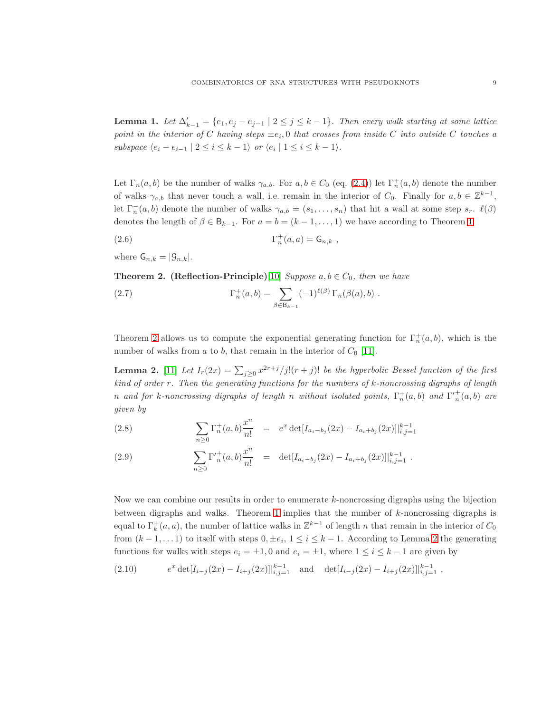<span id="page-8-2"></span>**Lemma 1.** Let  $\Delta'_{k-1} = \{e_1, e_j - e_{j-1} \mid 2 \leq j \leq k-1\}$ . Then every walk starting at some lattice point in the interior of C having steps  $\pm e_i$ , 0 that crosses from inside C into outside C touches a subspace  $\langle e_i - e_{i-1} | 2 \leq i \leq k-1 \rangle$  or  $\langle e_i | 1 \leq i \leq k-1 \rangle$ .

Let  $\Gamma_n(a, b)$  be the number of walks  $\gamma_{a,b}$ . For  $a, b \in C_0$  (eq. [\(2.4\)](#page-6-1)) let  $\Gamma_n^+(a, b)$  denote the number of walks  $\gamma_{a,b}$  that never touch a wall, i.e. remain in the interior of  $C_0$ . Finally for  $a, b \in \mathbb{Z}^{k-1}$ , let  $\Gamma_n^-(a,b)$  denote the number of walks  $\gamma_{a,b} = (s_1,\ldots,s_n)$  that hit a wall at some step  $s_r$ .  $\ell(\beta)$ denotes the length of  $\beta \in \mathsf{B}_{k-1}$ . For  $a = b = (k-1, \ldots, 1)$  $a = b = (k-1, \ldots, 1)$  $a = b = (k-1, \ldots, 1)$  we have according to Theorem 1

$$
\Gamma_n^+(a,a) = \mathsf{G}_{n,k} \ ,
$$

where  $\mathsf{G}_{n,k} = |\mathcal{G}_{n,k}|$ .

<span id="page-8-0"></span>**Theorem 2.** (Reflection-Principle)[\[10\]](#page-23-16) Suppose  $a, b \in C_0$ , then we have

(2.7) 
$$
\Gamma_n^+(a,b) = \sum_{\beta \in B_{k-1}} (-1)^{\ell(\beta)} \Gamma_n(\beta(a),b) .
$$

Theorem [2](#page-8-0) allows us to compute the exponential generating function for  $\Gamma_n^+(a,b)$ , which is the number of walks from  $a$  to  $b$ , that remain in the interior of  $C_0$  [\[11\]](#page-23-18).

<span id="page-8-1"></span>**Lemma 2.** [\[11\]](#page-23-18) Let  $I_r(2x) = \sum_{j\geq 0} x^{2r+j}/j!(r+j)!$  be the hyperbolic Bessel function of the first kind of order r. Then the generating functions for the numbers of k-noncrossing digraphs of length n and for k-noncrossing digraphs of length n without isolated points,  $\Gamma_n^+(a,b)$  and  $\Gamma_n^+(a,b)$  are given by

(2.8) 
$$
\sum_{n\geq 0} \Gamma_n^+(a,b) \frac{x^n}{n!} = e^x \det[I_{a_i-b_j}(2x) - I_{a_i+b_j}(2x)]|_{i,j=1}^{k-1}
$$

(2.9) 
$$
\sum_{n\geq 0} \Gamma'^{+}_n(a,b) \frac{x^n}{n!} = \det[I_{a_i-b_j}(2x) - I_{a_i+b_j}(2x)]|_{i,j=1}^{k-1}.
$$

Now we can combine our results in order to enumerate  $k$ -noncrossing digraphs using the bijection between digraphs and walks. Theorem [1](#page-6-0) implies that the number of  $k$ -noncrossing digraphs is equal to  $\Gamma_k^+(a, a)$ , the number of lattice walks in  $\mathbb{Z}^{k-1}$  of length n that remain in the interior of  $C_0$ from  $(k-1,... 1)$  to itself with steps  $0, \pm e_i, 1 \leq i \leq k-1$ . According to Lemma [2](#page-8-1) the generating functions for walks with steps  $e_i = \pm 1, 0$  and  $e_i = \pm 1$ , where  $1 \leq i \leq k - 1$  are given by

$$
(2.10) \t ex det[Ii-j(2x) - Ii+j(2x)]|k-1i,j=1 and det[Ii-j(2x) - Ii+j(2x)]|k-1i,j=1,
$$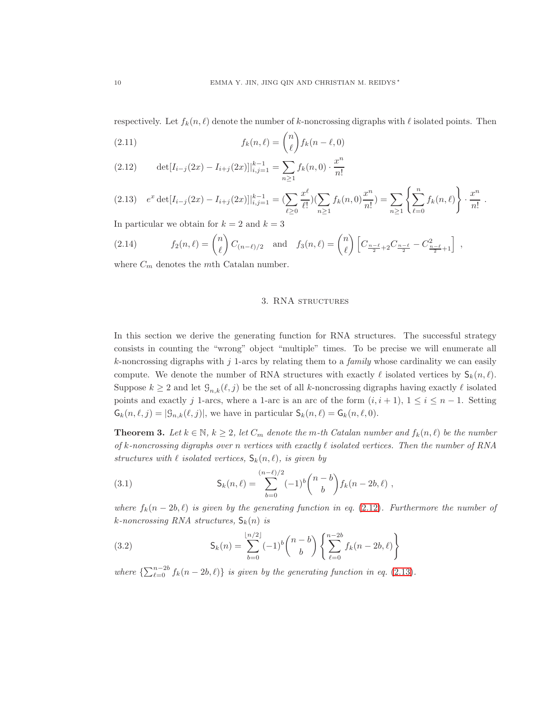respectively. Let  $f_k(n, \ell)$  denote the number of k-noncrossing digraphs with  $\ell$  isolated points. Then

(2.11) 
$$
f_k(n,\ell) = \binom{n}{\ell} f_k(n-\ell,0)
$$

<span id="page-9-1"></span>(2.12) 
$$
\det[I_{i-j}(2x) - I_{i+j}(2x)]|_{i,j=1}^{k-1} = \sum_{n \ge 1} f_k(n,0) \cdot \frac{x^n}{n!}
$$

<span id="page-9-2"></span>
$$
(2.13) \quad e^x \det[I_{i-j}(2x) - I_{i+j}(2x)]|_{i,j=1}^{k-1} = \left(\sum_{\ell \ge 0} \frac{x^{\ell}}{\ell!} \right) \left(\sum_{n \ge 1} f_k(n,0) \frac{x^n}{n!} \right) = \sum_{n \ge 1} \left\{ \sum_{\ell=0}^n f_k(n,\ell) \right\} \cdot \frac{x^n}{n!}.
$$

In particular we obtain for  $k = 2$  and  $k = 3$ 

(2.14) 
$$
f_2(n,\ell) = {n \choose \ell} C_{(n-\ell)/2} \text{ and } f_3(n,\ell) = {n \choose \ell} \left[ C_{\frac{n-\ell}{2}+2} C_{\frac{n-\ell}{2}} - C_{\frac{n-\ell}{2}+1}^2 \right],
$$

<span id="page-9-5"></span>where  $C_m$  denotes the *mth* Catalan number.

### 3. RNA structures

In this section we derive the generating function for RNA structures. The successful strategy consists in counting the "wrong" object "multiple" times. To be precise we will enumerate all  $k$ -noncrossing digraphs with j 1-arcs by relating them to a *family* whose cardinality we can easily compute. We denote the number of RNA structures with exactly  $\ell$  isolated vertices by  $\mathsf{S}_k(n,\ell)$ . Suppose  $k \geq 2$  and let  $\mathcal{G}_{n,k}(\ell,j)$  be the set of all k-noncrossing digraphs having exactly  $\ell$  isolated points and exactly j 1-arcs, where a 1-arc is an arc of the form  $(i, i + 1)$ ,  $1 \le i \le n - 1$ . Setting  $G_k(n, \ell, j) = |\mathcal{G}_{n,k}(\ell, j)|$ , we have in particular  $S_k(n, \ell) = G_k(n, \ell, 0)$ .

<span id="page-9-0"></span>**Theorem 3.** Let  $k \in \mathbb{N}$ ,  $k \geq 2$ , let  $C_m$  denote the m-th Catalan number and  $f_k(n, \ell)$  be the number of k-noncrossing digraphs over n vertices with exactly  $\ell$  isolated vertices. Then the number of RNA structures with  $\ell$  isolated vertices,  $\mathsf{S}_k(n, \ell)$ , is given by

<span id="page-9-4"></span>(3.1) 
$$
\mathsf{S}_k(n,\ell) = \sum_{b=0}^{(n-\ell)/2} (-1)^b \binom{n-b}{b} f_k(n-2b,\ell) ,
$$

where  $f_k(n-2b,\ell)$  is given by the generating function in eq. [\(2.12\)](#page-9-1). Furthermore the number of k-noncrossing RNA structures,  $\mathsf{S}_k(n)$  is

<span id="page-9-3"></span>(3.2) 
$$
\mathsf{S}_k(n) = \sum_{b=0}^{\lfloor n/2 \rfloor} (-1)^b \binom{n-b}{b} \left\{ \sum_{\ell=0}^{n-2b} f_k(n-2b,\ell) \right\}
$$

where  $\{\sum_{\ell=0}^{n-2b} f_k(n-2b,\ell)\}\$  is given by the generating function in eq. [\(2.13\)](#page-9-2).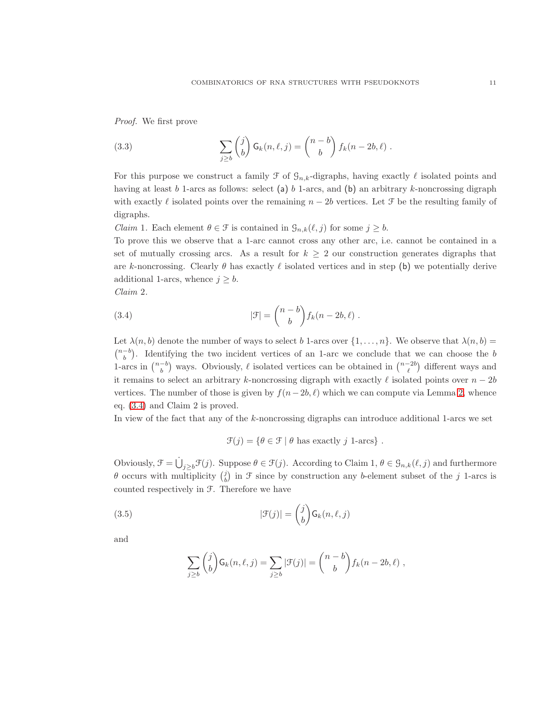Proof. We first prove

<span id="page-10-1"></span>(3.3) 
$$
\sum_{j\geq b} {j \choose b} \mathsf{G}_k(n,\ell,j) = {n-b \choose b} f_k(n-2b,\ell).
$$

For this purpose we construct a family  $\mathcal F$  of  $\mathcal G_{n,k}$ -digraphs, having exactly  $\ell$  isolated points and having at least b 1-arcs as follows: select (a) b 1-arcs, and (b) an arbitrary k-noncrossing digraph with exactly  $\ell$  isolated points over the remaining  $n - 2b$  vertices. Let  $\mathcal F$  be the resulting family of digraphs.

*Claim* 1. Each element  $\theta \in \mathcal{F}$  is contained in  $\mathcal{G}_{n,k}(\ell,j)$  for some  $j \geq b$ .

To prove this we observe that a 1-arc cannot cross any other arc, i.e. cannot be contained in a set of mutually crossing arcs. As a result for  $k \geq 2$  our construction generates digraphs that are k-noncrossing. Clearly  $\theta$  has exactly  $\ell$  isolated vertices and in step (b) we potentially derive additional 1-arcs, whence  $j \geq b$ .

Claim 2.

(3.4) 
$$
|\mathcal{F}| = \binom{n-b}{b} f_k(n-2b,\ell).
$$

Let  $\lambda(n, b)$  denote the number of ways to select b 1-arcs over  $\{1, \ldots, n\}$ . We observe that  $\lambda(n, b)$  =  $\binom{n-b}{b}$ . Identifying the two incident vertices of an 1-arc we conclude that we can choose the b 1-arcs in  $\binom{n-b}{b}$  ways. Obviously,  $\ell$  isolated vertices can be obtained in  $\binom{n-2b}{\ell}$  different ways and it remains to select an arbitrary k-noncrossing digraph with exactly  $\ell$  isolated points over  $n-2b$ vertices. The number of those is given by  $f(n-2b, \ell)$  which we can compute via Lemma [2,](#page-8-1) whence eq. [\(3.4\)](#page-10-0) and Claim 2 is proved.

In view of the fact that any of the k-noncrossing digraphs can introduce additional 1-arcs we set

<span id="page-10-0"></span>
$$
\mathcal{F}(j) = \{ \theta \in \mathcal{F} \mid \theta \text{ has exactly } j \text{ 1-arcs} \} .
$$

Obviously,  $\mathcal{F} = \dot\bigcup_{j\geq b} \mathcal{F}(j)$ . Suppose  $\theta \in \mathcal{F}(j)$ . According to Claim 1,  $\theta \in \mathcal{G}_{n,k}(\ell,j)$  and furthermore  $\theta$  occurs with multiplicity  $\begin{pmatrix} j \\ b \end{pmatrix}$  in  $\mathcal F$  since by construction any b-element subset of the j 1-arcs is counted respectively in F. Therefore we have

(3.5) 
$$
|\mathcal{F}(j)| = \binom{j}{b} \mathsf{G}_k(n, \ell, j)
$$

and

$$
\sum_{j\geq b} \binom{j}{b} \mathsf{G}_k(n,\ell,j) = \sum_{j\geq b} |\mathcal{F}(j)| = \binom{n-b}{b} f_k(n-2b,\ell) ,
$$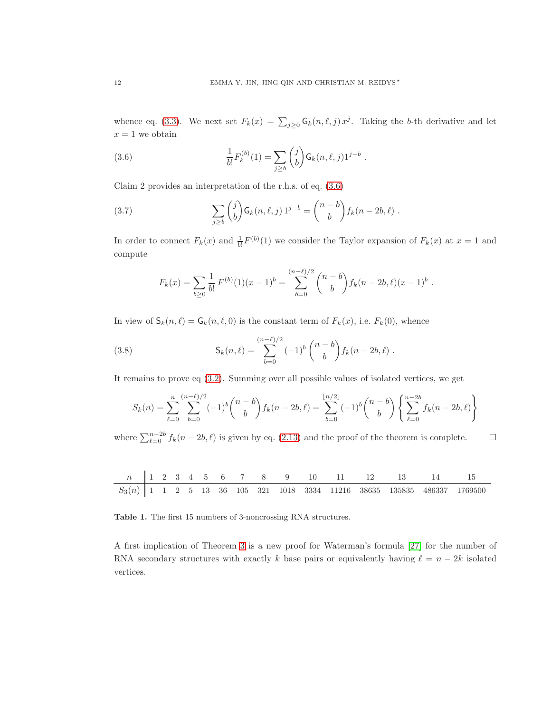whence eq. [\(3.3\)](#page-10-1). We next set  $F_k(x) = \sum_{j\geq 0} \mathsf{G}_k(n,\ell,j) x^j$ . Taking the b-th derivative and let  $x = 1$  we obtain

<span id="page-11-0"></span>(3.6) 
$$
\frac{1}{b!}F_k^{(b)}(1) = \sum_{j\geq b} \binom{j}{b} \mathsf{G}_k(n,\ell,j) 1^{j-b}.
$$

Claim 2 provides an interpretation of the r.h.s. of eq. [\(3.6\)](#page-11-0)

(3.7) 
$$
\sum_{j\geq b} {j \choose b} G_k(n,\ell,j) 1^{j-b} = {n-b \choose b} f_k(n-2b,\ell).
$$

In order to connect  $F_k(x)$  and  $\frac{1}{b!}F^{(b)}(1)$  we consider the Taylor expansion of  $F_k(x)$  at  $x = 1$  and compute

$$
F_k(x) = \sum_{b \ge 0} \frac{1}{b!} F^{(b)}(1)(x-1)^b = \sum_{b=0}^{(n-\ell)/2} {n-b \choose b} f_k(n-2b,\ell)(x-1)^b.
$$

In view of  $\mathsf{S}_k(n,\ell) = \mathsf{G}_k(n,\ell,0)$  is the constant term of  $F_k(x)$ , i.e.  $F_k(0)$ , whence

(3.8) 
$$
\mathsf{S}_k(n,\ell) = \sum_{b=0}^{(n-\ell)/2} (-1)^b \binom{n-b}{b} f_k(n-2b,\ell) .
$$

It remains to prove eq [\(3.2\)](#page-9-3). Summing over all possible values of isolated vertices, we get

$$
S_k(n) = \sum_{\ell=0}^n \sum_{b=0}^{(n-\ell)/2} (-1)^b \binom{n-b}{b} f_k(n-2b,\ell) = \sum_{b=0}^{\lfloor n/2 \rfloor} (-1)^b \binom{n-b}{b} \left\{ \sum_{\ell=0}^{n-2b} f_k(n-2b,\ell) \right\}
$$

where  $\sum_{\ell=0}^{n-2b} f_k(n-2b,\ell)$  is given by eq. [\(2.13\)](#page-9-2) and the proof of the theorem is complete. □



Table 1. The first 15 numbers of 3-noncrossing RNA structures.

A first implication of Theorem [3](#page-9-0) is a new proof for Waterman's formula [\[27\]](#page-24-0) for the number of RNA secondary structures with exactly k base pairs or equivalently having  $\ell = n - 2k$  isolated vertices.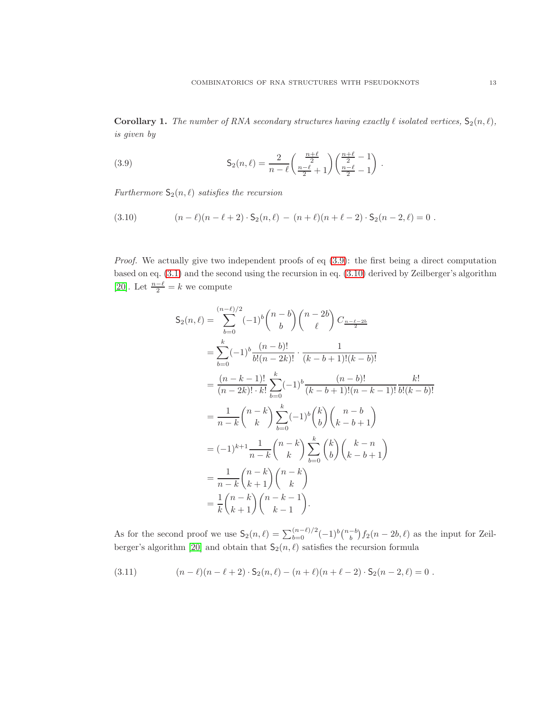**Corollary 1.** The number of RNA secondary structures having exactly  $\ell$  isolated vertices,  $S_2(n, \ell)$ , is given by

<span id="page-12-0"></span>(3.9) 
$$
\mathsf{S}_2(n,\ell) = \frac{2}{n-\ell} \left( \frac{\frac{n+\ell}{2}}{\frac{n-\ell}{2}} + 1 \right) \left( \frac{\frac{n+\ell}{2} - 1}{\frac{n-\ell}{2}} - 1 \right) .
$$

Furthermore  $S_2(n, \ell)$  satisfies the recursion

<span id="page-12-1"></span>(3.10) 
$$
(n - \ell)(n - \ell + 2) \cdot S_2(n, \ell) - (n + \ell)(n + \ell - 2) \cdot S_2(n - 2, \ell) = 0.
$$

*Proof.* We actually give two independent proofs of eq  $(3.9)$ : the first being a direct computation based on eq. [\(3.1\)](#page-9-4) and the second using the recursion in eq. [\(3.10\)](#page-12-1) derived by Zeilberger's algorithm [\[20\]](#page-23-19). Let  $\frac{n-\ell}{2} = k$  we compute

$$
S_2(n,\ell) = \sum_{b=0}^{(n-\ell)/2} (-1)^b {n-b \choose b} {n-2b \choose \ell} C_{\frac{n-\ell-2b}{2}}
$$
  
\n
$$
= \sum_{b=0}^{k} (-1)^b \frac{(n-b)!}{b!(n-2k)!} \cdot \frac{1}{(k-b+1)!(k-b)!}
$$
  
\n
$$
= \frac{(n-k-1)!}{(n-2k)! \cdot k!} \sum_{b=0}^{k} (-1)^b \frac{(n-b)!}{(k-b+1)!(n-k-1)!} \frac{k!}{b!(k-b)!}
$$
  
\n
$$
= \frac{1}{n-k} {n-k \choose k} \sum_{b=0}^{k} (-1)^b {k \choose b} {n-b \choose k-b+1}
$$
  
\n
$$
= (-1)^{k+1} \frac{1}{n-k} {n-k \choose k} \sum_{b=0}^{k} {k \choose b} {k-n \choose k-b+1}
$$
  
\n
$$
= \frac{1}{n-k} {n-k \choose k+1} {n-k \choose k}
$$
  
\n
$$
= \frac{1}{k} {n-k \choose k+1} {n-k \choose k-1}.
$$

As for the second proof we use  $S_2(n,\ell) = \sum_{b=0}^{(n-\ell)/2} (-1)^b \binom{n-b}{b} f_2(n-2b,\ell)$  as the input for Zeil-berger's algorithm [\[20\]](#page-23-19) and obtain that  $S_2(n, \ell)$  satisfies the recursion formula

<span id="page-12-2"></span>(3.11) 
$$
(n - \ell)(n - \ell + 2) \cdot S_2(n, \ell) - (n + \ell)(n + \ell - 2) \cdot S_2(n - 2, \ell) = 0.
$$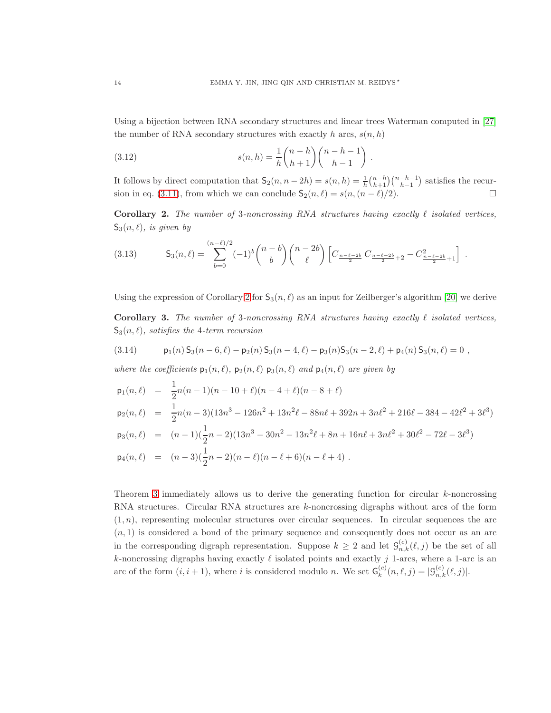Using a bijection between RNA secondary structures and linear trees Waterman computed in [\[27\]](#page-24-0) the number of RNA secondary structures with exactly h arcs,  $s(n, h)$ 

(3.12) 
$$
s(n,h) = \frac{1}{h} \binom{n-h}{h+1} \binom{n-h-1}{h-1} .
$$

It follows by direct computation that  $S_2(n, n-2h) = s(n, h) = \frac{1}{h} {n-h \choose h+1} {n-h-1 \choose h-1}$  satisfies the recur-sion in eq. [\(3.11\)](#page-12-2), from which we can conclude  $S_2(n, \ell) = s(n, (n - \ell)/2)$ .

<span id="page-13-0"></span>**Corollary 2.** The number of 3-noncrossing RNA structures having exactly  $\ell$  isolated vertices,  $S_3(n, \ell)$ , is given by

$$
(3.13) \tS_3(n,\ell) = \sum_{b=0}^{(n-\ell)/2} (-1)^b \binom{n-b}{b} \binom{n-2b}{\ell} \left[ C_{\frac{n-\ell-2b}{2}} C_{\frac{n-\ell-2b}{2}+2} - C_{\frac{n-\ell-2b}{2}+1}^2 \right].
$$

Using the expression of Corollary [2](#page-13-0) for  $S_3(n, \ell)$  as an input for Zeilberger's algorithm [\[20\]](#page-23-19) we derive

Corollary 3. The number of 3-noncrossing RNA structures having exactly  $\ell$  isolated vertices,  $S_3(n, \ell)$ , satisfies the 4-term recursion

(3.14) 
$$
p_1(n) S_3(n-6, \ell) - p_2(n) S_3(n-4, \ell) - p_3(n) S_3(n-2, \ell) + p_4(n) S_3(n, \ell) = 0,
$$

where the coefficients  $p_1(n, \ell)$ ,  $p_2(n, \ell)$   $p_3(n, \ell)$  and  $p_4(n, \ell)$  are given by

$$
p_1(n,\ell) = \frac{1}{2}n(n-1)(n-10+\ell)(n-4+\ell)(n-8+\ell)
$$
  
\n
$$
p_2(n,\ell) = \frac{1}{2}n(n-3)(13n^3 - 126n^2 + 13n^2\ell - 88n\ell + 392n + 3n\ell^2 + 216\ell - 384 - 42\ell^2 + 3\ell^3)
$$
  
\n
$$
p_3(n,\ell) = (n-1)(\frac{1}{2}n-2)(13n^3 - 30n^2 - 13n^2\ell + 8n + 16n\ell + 3n\ell^2 + 30\ell^2 - 72\ell - 3\ell^3)
$$
  
\n
$$
p_4(n,\ell) = (n-3)(\frac{1}{2}n-2)(n-\ell)(n-\ell+6)(n-\ell+4).
$$

Theorem [3](#page-9-0) immediately allows us to derive the generating function for circular  $k$ -noncrossing RNA structures. Circular RNA structures are k-noncrossing digraphs without arcs of the form  $(1, n)$ , representing molecular structures over circular sequences. In circular sequences the arc  $(n, 1)$  is considered a bond of the primary sequence and consequently does not occur as an arc in the corresponding digraph representation. Suppose  $k \geq 2$  and let  $\mathcal{G}_{n,k}^{(c)}(\ell,j)$  be the set of all k-noncrossing digraphs having exactly  $\ell$  isolated points and exactly j 1-arcs, where a 1-arc is an arc of the form  $(i, i + 1)$ , where i is considered modulo n. We set  $\mathsf{G}_k^{(c)}$  $k^{(c)}(n,\ell,j) = |\mathcal{G}^{(c)}_{n,k}(\ell,j)|.$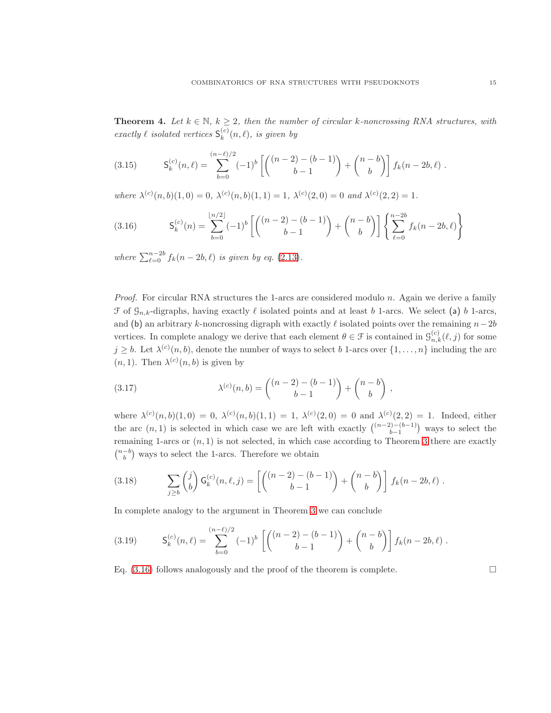**Theorem 4.** Let  $k \in \mathbb{N}$ ,  $k \geq 2$ , then the number of circular k-noncrossing RNA structures, with exactly  $\ell$  isolated vertices  $\mathsf{S}_k^{(c)}$  $k^{(c)}(n,\ell)$ , is given by

(3.15) 
$$
\mathsf{S}_{k}^{(c)}(n,\ell) = \sum_{b=0}^{(n-\ell)/2} (-1)^{b} \left[ \binom{(n-2)-(b-1)}{b-1} + \binom{n-b}{b} \right] f_{k}(n-2b,\ell).
$$

where  $\lambda^{(c)}(n, b)(1, 0) = 0$ ,  $\lambda^{(c)}(n, b)(1, 1) = 1$ ,  $\lambda^{(c)}(2, 0) = 0$  and  $\lambda^{(c)}(2, 2) = 1$ .

<span id="page-14-0"></span>(3.16) 
$$
\mathsf{S}_{k}^{(c)}(n) = \sum_{b=0}^{\lfloor n/2 \rfloor} (-1)^{b} \left[ \binom{(n-2)-(b-1)}{b-1} + \binom{n-b}{b} \right] \left\{ \sum_{\ell=0}^{n-2b} f_{k}(n-2b,\ell) \right\}
$$

where  $\sum_{\ell=0}^{n-2b} f_k(n-2b,\ell)$  is given by eq. [\(2.13\)](#page-9-2).

*Proof.* For circular RNA structures the 1-arcs are considered modulo  $n$ . Again we derive a family  $\mathcal F$  of  $\mathcal G_{n,k}$ -digraphs, having exactly  $\ell$  isolated points and at least b 1-arcs. We select (a) b 1-arcs, and (b) an arbitrary k-noncrossing digraph with exactly  $\ell$  isolated points over the remaining  $n-2b$ vertices. In complete analogy we derive that each element  $\theta \in \mathcal{F}$  is contained in  $\mathcal{G}_{n,k}^{(c)}(\ell,j)$  for some  $j \geq b$ . Let  $\lambda^{(c)}(n, b)$ , denote the number of ways to select b 1-arcs over  $\{1, \ldots, n\}$  including the arc  $(n, 1)$ . Then  $\lambda^{(c)}(n, b)$  is given by

(3.17) 
$$
\lambda^{(c)}(n,b) = \binom{(n-2) - (b-1)}{b-1} + \binom{n-b}{b},
$$

where  $\lambda^{(c)}(n,b)(1,0) = 0$ ,  $\lambda^{(c)}(n,b)(1,1) = 1$ ,  $\lambda^{(c)}(2,0) = 0$  and  $\lambda^{(c)}(2,2) = 1$ . Indeed, either the arc  $(n, 1)$  is selected in which case we are left with exactly  $\binom{(n-2)-(b-1)}{b-1}$  ways to select the remaining 1-arcs or  $(n, 1)$  is not selected, in which case according to Theorem [3](#page-9-0) there are exactly  $\binom{n-b}{b}$  ways to select the 1-arcs. Therefore we obtain

(3.18) 
$$
\sum_{j\geq b} \binom{j}{b} \mathsf{G}_k^{(c)}(n,\ell,j) = \left[ \binom{(n-2)-(b-1)}{b-1} + \binom{n-b}{b} \right] f_k(n-2b,\ell).
$$

In complete analogy to the argument in Theorem [3](#page-9-0) we can conclude

(3.19) 
$$
\mathsf{S}_{k}^{(c)}(n,\ell) = \sum_{b=0}^{(n-\ell)/2} (-1)^{b} \left[ \binom{(n-2)-(b-1)}{b-1} + \binom{n-b}{b} \right] f_{k}(n-2b,\ell).
$$

Eq.  $(3.16)$  follows analogously and the proof of the theorem is complete.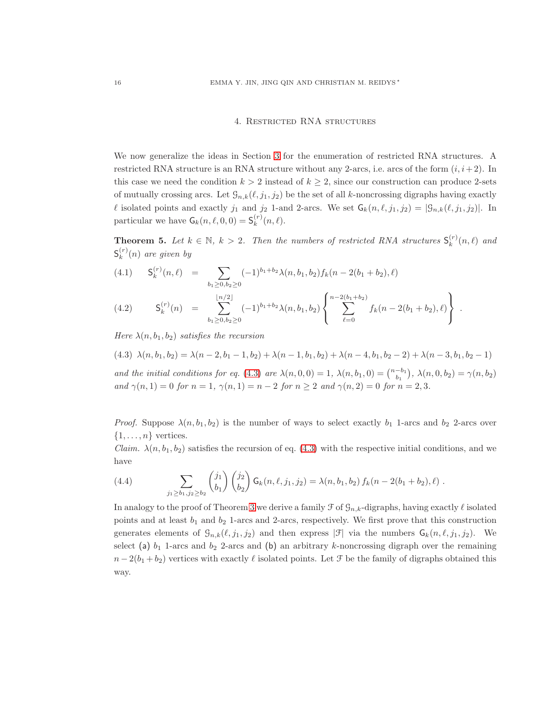# 4. Restricted RNA structures

We now generalize the ideas in Section [3](#page-9-5) for the enumeration of restricted RNA structures. A restricted RNA structure is an RNA structure without any 2-arcs, i.e. arcs of the form  $(i, i+2)$ . In this case we need the condition  $k > 2$  instead of  $k \geq 2$ , since our construction can produce 2-sets of mutually crossing arcs. Let  $\mathcal{G}_{n,k}(\ell, j_1, j_2)$  be the set of all k-noncrossing digraphs having exactly l isolated points and exactly  $j_1$  and  $j_2$  1-and 2-arcs. We set  $\mathsf{G}_k(n, \ell, j_1, j_2) = |\mathcal{G}_{n,k}(\ell, j_1, j_2)|$ . In particular we have  $\mathsf{G}_k(n, \ell, 0, 0) = \mathsf{S}_k^{(r)}$  $\binom{r}{k}(n,\ell).$ 

<span id="page-15-0"></span>**Theorem 5.** Let  $k \in \mathbb{N}$ ,  $k > 2$ . Then the numbers of restricted RNA structures  $S_k^{(r)}$  $_k^{(r)}(n,\ell)$  and  $\mathsf{S}_k^{(r)}$  $k^{(r)}(n)$  are given by

<span id="page-15-2"></span>(4.1) 
$$
\mathsf{S}_{k}^{(r)}(n,\ell) = \sum_{b_1 \geq 0, b_2 \geq 0} (-1)^{b_1+b_2} \lambda(n, b_1, b_2) f_k(n-2(b_1+b_2), \ell)
$$

$$
(4.2) \tS_k^{(r)}(n) = \sum_{b_1 \geq 0, b_2 \geq 0}^{\lfloor n/2 \rfloor} (-1)^{b_1+b_2} \lambda(n, b_1, b_2) \left\{ \sum_{\ell=0}^{n-2(b_1+b_2)} f_k(n-2(b_1+b_2), \ell) \right\}.
$$

Here  $\lambda(n, b_1, b_2)$  satisfies the recursion

<span id="page-15-1"></span>(4.3) 
$$
\lambda(n, b_1, b_2) = \lambda(n-2, b_1-1, b_2) + \lambda(n-1, b_1, b_2) + \lambda(n-4, b_1, b_2-2) + \lambda(n-3, b_1, b_2-1)
$$
  
and the initial conditions for eq. (4.3) are  $\lambda(n, 0, 0) = 1$ ,  $\lambda(n, b_1, 0) = {n-b_1 \choose b_1}$ ,  $\lambda(n, 0, b_2) = \gamma(n, b_2)$   
and  $\gamma(n, 1) = 0$  for  $n = 1$ ,  $\gamma(n, 1) = n - 2$  for  $n \ge 2$  and  $\gamma(n, 2) = 0$  for  $n = 2, 3$ .

*Proof.* Suppose  $\lambda(n, b_1, b_2)$  is the number of ways to select exactly  $b_1$  1-arcs and  $b_2$  2-arcs over  $\{1, \ldots, n\}$  vertices.

Claim.  $\lambda(n, b_1, b_2)$  satisfies the recursion of eq. [\(4.3\)](#page-15-1) with the respective initial conditions, and we have

(4.4) 
$$
\sum_{j_1 \ge b_1, j_2 \ge b_2} {j_1 \choose b_1} {j_2 \choose b_2} \mathsf{G}_k(n, \ell, j_1, j_2) = \lambda(n, b_1, b_2) f_k(n - 2(b_1 + b_2), \ell).
$$

In analogy to the proof of Theorem [3](#page-9-0) we derive a family  $\mathcal F$  of  $\mathcal G_{n,k}$ -digraphs, having exactly  $\ell$  isolated points and at least  $b_1$  and  $b_2$  1-arcs and 2-arcs, respectively. We first prove that this construction generates elements of  $\mathcal{G}_{n,k}(\ell,j_1,j_2)$  and then express  $|\mathcal{F}|$  via the numbers  $\mathsf{G}_k(n,\ell,j_1,j_2)$ . We select (a)  $b_1$  1-arcs and  $b_2$  2-arcs and (b) an arbitrary k-noncrossing digraph over the remaining  $n-2(b_1+b_2)$  vertices with exactly  $\ell$  isolated points. Let  $\mathcal F$  be the family of digraphs obtained this way.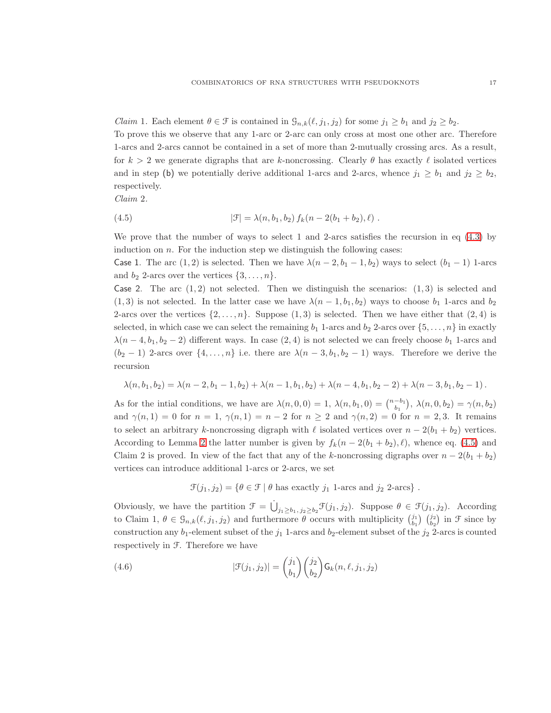*Claim* 1. Each element  $\theta \in \mathcal{F}$  is contained in  $\mathcal{G}_{n,k}(\ell,j_1,j_2)$  for some  $j_1 \geq b_1$  and  $j_2 \geq b_2$ . To prove this we observe that any 1-arc or 2-arc can only cross at most one other arc. Therefore 1-arcs and 2-arcs cannot be contained in a set of more than 2-mutually crossing arcs. As a result, for  $k > 2$  we generate digraphs that are k-noncrossing. Clearly  $\theta$  has exactly  $\ell$  isolated vertices and in step (b) we potentially derive additional 1-arcs and 2-arcs, whence  $j_1 \geq b_1$  and  $j_2 \geq b_2$ , respectively.

Claim 2.

<span id="page-16-0"></span>(4.5) 
$$
|\mathcal{F}| = \lambda(n, b_1, b_2) f_k(n - 2(b_1 + b_2), \ell).
$$

We prove that the number of ways to select 1 and 2-arcs satisfies the recursion in eq  $(4.3)$  by induction on  $n$ . For the induction step we distinguish the following cases:

Case 1. The arc  $(1, 2)$  is selected. Then we have  $\lambda(n-2, b_1-1, b_2)$  ways to select  $(b_1-1)$  1-arcs and  $b_2$  2-arcs over the vertices  $\{3, \ldots, n\}.$ 

Case 2. The arc  $(1, 2)$  not selected. Then we distinguish the scenarios:  $(1, 3)$  is selected and  $(1, 3)$  is not selected. In the latter case we have  $\lambda(n-1, b_1, b_2)$  ways to choose  $b_1$  1-arcs and  $b_2$ 2-arcs over the vertices  $\{2,\ldots,n\}$ . Suppose  $(1,3)$  is selected. Then we have either that  $(2,4)$  is selected, in which case we can select the remaining  $b_1$  1-arcs and  $b_2$  2-arcs over  $\{5, \ldots, n\}$  in exactly  $\lambda(n-4, b_1, b_2-2)$  different ways. In case  $(2, 4)$  is not selected we can freely choose  $b_1$  1-arcs and  $(b_2 - 1)$  2-arcs over  $\{4, \ldots, n\}$  i.e. there are  $\lambda(n-3, b_1, b_2-1)$  ways. Therefore we derive the recursion

$$
\lambda(n, b_1, b_2) = \lambda(n-2, b_1-1, b_2) + \lambda(n-1, b_1, b_2) + \lambda(n-4, b_1, b_2-2) + \lambda(n-3, b_1, b_2-1).
$$

As for the intial conditions, we have are  $\lambda(n,0,0) = 1$ ,  $\lambda(n,b_1,0) = \binom{n-b_1}{b_1}$ ,  $\lambda(n,0,b_2) = \gamma(n,b_2)$ and  $\gamma(n, 1) = 0$  for  $n = 1$ ,  $\gamma(n, 1) = n - 2$  for  $n \ge 2$  and  $\gamma(n, 2) = 0$  for  $n = 2, 3$ . It remains to select an arbitrary k-noncrossing digraph with  $\ell$  isolated vertices over  $n - 2(b_1 + b_2)$  vertices. According to Lemma [2](#page-8-1) the latter number is given by  $f_k(n-2(b_1+b_2), \ell)$ , whence eq. [\(4.5\)](#page-16-0) and Claim 2 is proved. In view of the fact that any of the k-noncrossing digraphs over  $n - 2(b_1 + b_2)$ vertices can introduce additional 1-arcs or 2-arcs, we set

 $\mathcal{F}(j_1, j_2) = \{ \theta \in \mathcal{F} \mid \theta \text{ has exactly } j_1 \text{ 1-arcs and } j_2 \text{ 2-arcs } \}.$ 

Obviously, we have the partition  $\mathcal{F} = \dot{\bigcup}_{j_1 \geq b_1, j_2 \geq b_2} \mathcal{F}(j_1, j_2)$ . Suppose  $\theta \in \mathcal{F}(j_1, j_2)$ . According to Claim 1,  $\theta \in \mathcal{G}_{n,k}(\ell, j_1, j_2)$  and furthermore  $\theta$  occurs with multiplicity  $\begin{pmatrix} j_1 \\ b_1 \end{pmatrix}$   $\begin{pmatrix} j_2 \\ b_2 \end{pmatrix}$  in  $\mathcal{F}$  since by construction any  $b_1$ -element subset of the  $j_1$  1-arcs and  $b_2$ -element subset of the  $j_2$  2-arcs is counted respectively in F. Therefore we have

(4.6) 
$$
|\mathcal{F}(j_1, j_2)| = {j_1 \choose b_1} {j_2 \choose b_2} \mathsf{G}_k(n, \ell, j_1, j_2)
$$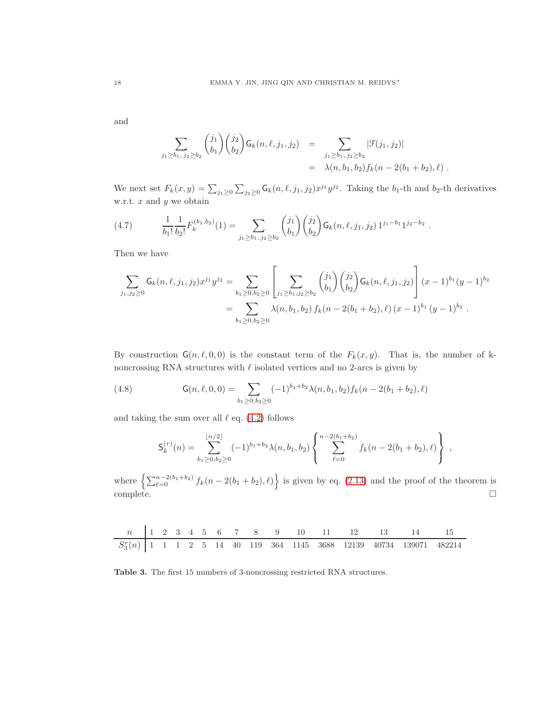and

$$
\sum_{j_1 \ge b_1, j_2 \ge b_2} {j_1 \choose b_1} {j_2 \choose b_2} \mathsf{G}_k(n, \ell, j_1, j_2) = \sum_{\substack{j_1 \ge b_1, j_2 \ge b_2}} |\mathcal{F}(j_1, j_2)|
$$
  
=  $\lambda(n, b_1, b_2) f_k(n - 2(b_1 + b_2), \ell).$ 

We next set  $F_k(x, y) = \sum_{j_1 \geq 0} \sum_{j_2 \geq 0} \mathsf{G}_k(n, \ell, j_1, j_2) x^{j_1} y^{j_2}$ . Taking the  $b_1$ -th and  $b_2$ -th derivatives w.r.t.  $x$  and  $y$  we obtain

(4.7) 
$$
\frac{1}{b_1!} \frac{1}{b_2!} F_k^{(b_1, b_2)}(1) = \sum_{j_1 \ge b_1, j_2 \ge b_2} {j_1 \choose b_1} {j_2 \choose b_2} \mathsf{G}_k(n, \ell, j_1, j_2) 1^{j_1 - b_1} 1^{j_2 - b_2}.
$$

Then we have

$$
\sum_{j_1,j_2\geq 0} G_k(n,\ell,j_1,j_2) x^{j_1} y^{j_2} = \sum_{b_1\geq 0,b_2\geq 0} \left[ \sum_{j_1\geq b_1,j_2\geq b_2} {j_1 \choose b_1} {j_2 \choose b_2} G_k(n,\ell,j_1,j_2) \right] (x-1)^{b_1} (y-1)^{b_2}
$$
  
= 
$$
\sum_{b_1\geq 0,b_2\geq 0} \lambda(n,b_1,b_2) f_k(n-2(b_1+b_2),\ell) (x-1)^{b_1} (y-1)^{b_2}.
$$

By construction  $G(n, \ell, 0, 0)$  is the constant term of the  $F_k(x, y)$ . That is, the number of knoncrossing RNA structures with  $\ell$  isolated vertices and no 2-arcs is given by

(4.8) 
$$
\mathsf{G}(n,\ell,0,0)=\sum_{b_1\geq 0,b_2\geq 0}(-1)^{b_1+b_2}\lambda(n,b_1,b_2)f_k(n-2(b_1+b_2),\ell)
$$

and taking the sum over all  $\ell$  eq. [\(4.2\)](#page-15-2) follows

$$
\mathsf{S}_{k}^{(r)}(n) = \sum_{b_1 \geq 0, b_2 \geq 0}^{\lfloor n/2 \rfloor} (-1)^{b_1+b_2} \lambda(n, b_1, b_2) \left\{ \sum_{\ell=0}^{n-2(b_1+b_2)} f_k(n-2(b_1+b_2), \ell) \right\} ,
$$

where  $\left\{\sum_{\ell=0}^{n-2(b_1+b_2)} f_k(n-2(b_1+b_2), \ell)\right\}$  is given by eq. [\(2.13\)](#page-9-2) and the proof of the theorem is  $\Box$ complete.  $\Box$ 

| n          | 1 | 2 | 3 | 4 | 5 | 6  | 7  | 8   | 9   | 10   | 11   | 12    | 13    | 14     | 15     |
|------------|---|---|---|---|---|----|----|-----|-----|------|------|-------|-------|--------|--------|
| $S_3^r(n)$ | 1 | 1 | 1 | 2 | 5 | 14 | 40 | 119 | 364 | 1145 | 3688 | 12139 | 40734 | 139071 | 482214 |

Table 3. The first 15 numbers of 3-noncrossing restricted RNA structures.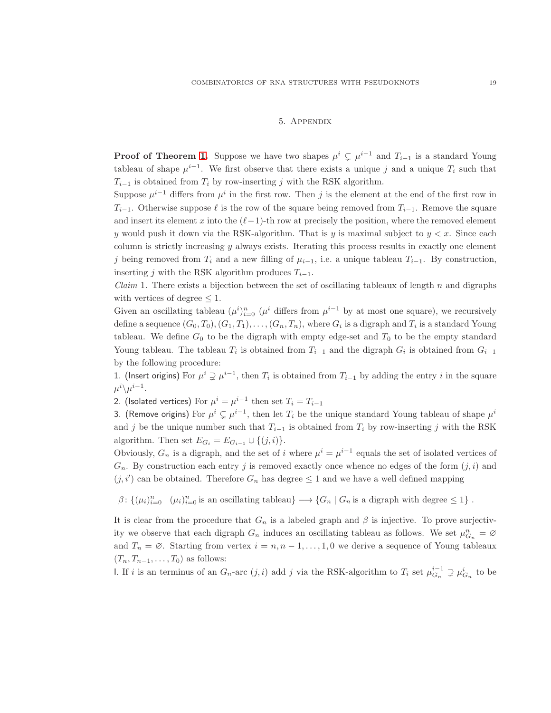### 5. Appendix

**Proof of Theorem [1.](#page-6-0)** Suppose we have two shapes  $\mu^{i} \subsetneq \mu^{i-1}$  and  $T_{i-1}$  is a standard Young tableau of shape  $\mu^{i-1}$ . We first observe that there exists a unique j and a unique  $T_i$  such that  $T_{i-1}$  is obtained from  $T_i$  by row-inserting j with the RSK algorithm.

Suppose  $\mu^{i-1}$  differs from  $\mu^i$  in the first row. Then j is the element at the end of the first row in  $T_{i-1}$ . Otherwise suppose  $\ell$  is the row of the square being removed from  $T_{i-1}$ . Remove the square and insert its element x into the  $(\ell-1)$ -th row at precisely the position, where the removed element y would push it down via the RSK-algorithm. That is y is maximal subject to  $y < x$ . Since each column is strictly increasing  $y$  always exists. Iterating this process results in exactly one element j being removed from  $T_i$  and a new filling of  $\mu_{i-1}$ , i.e. a unique tableau  $T_{i-1}$ . By construction, inserting j with the RSK algorithm produces  $T_{i-1}$ .

*Claim* 1. There exists a bijection between the set of oscillating tableaux of length  $n$  and digraphs with vertices of degree  $\leq 1$ .

Given an oscillating tableau  $(\mu^i)_{i=0}^n$  ( $\mu^i$  differs from  $\mu^{i-1}$  by at most one square), we recursively define a sequence  $(G_0, T_0), (G_1, T_1), \ldots, (G_n, T_n),$  where  $G_i$  is a digraph and  $T_i$  is a standard Young tableau. We define  $G_0$  to be the digraph with empty edge-set and  $T_0$  to be the empty standard Young tableau. The tableau  $T_i$  is obtained from  $T_{i-1}$  and the digraph  $G_i$  is obtained from  $G_{i-1}$ by the following procedure:

1. (Insert origins) For  $\mu^i \supsetneq \mu^{i-1}$ , then  $T_i$  is obtained from  $T_{i-1}$  by adding the entry i in the square  $\mu^i\backslash\mu^{i-1}.$ 

2. (Isolated vertices) For  $\mu^i = \mu^{i-1}$  then set  $T_i = T_{i-1}$ 

3. (Remove origins) For  $\mu^i \subsetneq \mu^{i-1}$ , then let  $T_i$  be the unique standard Young tableau of shape  $\mu^i$ and j be the unique number such that  $T_{i-1}$  is obtained from  $T_i$  by row-inserting j with the RSK algorithm. Then set  $E_{G_i} = E_{G_{i-1}} \cup \{(j,i)\}.$ 

Obviously,  $G_n$  is a digraph, and the set of i where  $\mu^i = \mu^{i-1}$  equals the set of isolated vertices of  $G_n$ . By construction each entry j is removed exactly once whence no edges of the form  $(j, i)$  and  $(j, i')$  can be obtained. Therefore  $G_n$  has degree  $\leq 1$  and we have a well defined mapping

 $\beta\colon \{(\mu_i)_{i=0}^n \mid (\mu_i)_{i=0}^n \text{ is an oscillating tableau}\}\longrightarrow \{G_n \mid G_n \text{ is a digraph with degree } \leq 1\}$ .

It is clear from the procedure that  $G_n$  is a labeled graph and  $\beta$  is injective. To prove surjectivity we observe that each digraph  $G_n$  induces an oscillating tableau as follows. We set  $\mu_{G_n}^n = \emptyset$ and  $T_n = \emptyset$ . Starting from vertex  $i = n, n - 1, \ldots, 1, 0$  we derive a sequence of Young tableaux  $(T_n, T_{n-1}, \ldots, T_0)$  as follows:

I. If i is an terminus of an  $G_n$ -arc  $(j, i)$  add j via the RSK-algorithm to  $T_i$  set  $\mu_{G_n}^{i-1} \supsetneq \mu_{G_n}^{i}$  to be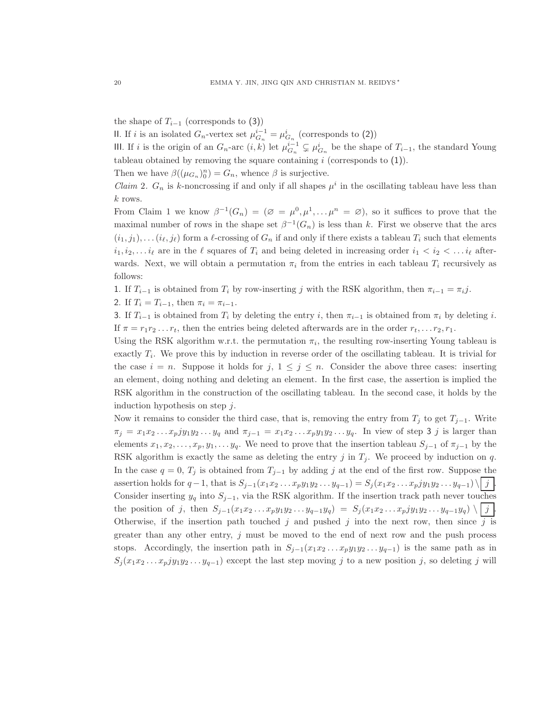the shape of  $T_{i-1}$  (corresponds to (3))

II. If *i* is an isolated  $G_n$ -vertex set  $\mu_{G_n}^{i-1} = \mu_{G_n}^i$  (corresponds to (2))

III. If i is the origin of an  $G_n$ -arc  $(i, k)$  let  $\mu_{G_n}^{i-1} \subsetneq \mu_{G_n}^i$  be the shape of  $T_{i-1}$ , the standard Young tableau obtained by removing the square containing  $i$  (corresponds to  $(1)$ ).

Then we have  $\beta((\mu_{G_n})_0^n) = G_n$ , whence  $\beta$  is surjective.

*Claim 2.*  $G_n$  is k-noncrossing if and only if all shapes  $\mu^i$  in the oscillating tableau have less than  $k$  rows.

From Claim 1 we know  $\beta^{-1}(G_n) = (\varnothing = \mu^0, \mu^1, \ldots, \mu^n = \varnothing)$ , so it suffices to prove that the maximal number of rows in the shape set  $\beta^{-1}(G_n)$  is less than k. First we observe that the arcs  $(i_1, j_1), \ldots (i_\ell, j_\ell)$  form a  $\ell$ -crossing of  $G_n$  if and only if there exists a tableau  $T_i$  such that elements  $i_1, i_2, \ldots i_\ell$  are in the  $\ell$  squares of  $T_i$  and being deleted in increasing order  $i_1 < i_2 < \ldots i_\ell$  afterwards. Next, we will obtain a permutation  $\pi_i$  from the entries in each tableau  $T_i$  recursively as follows:

1. If  $T_{i-1}$  is obtained from  $T_i$  by row-inserting j with the RSK algorithm, then  $\pi_{i-1} = \pi_i j$ .

2. If  $T_i = T_{i-1}$ , then  $\pi_i = \pi_{i-1}$ .

3. If  $T_{i-1}$  is obtained from  $T_i$  by deleting the entry i, then  $\pi_{i-1}$  is obtained from  $\pi_i$  by deleting i. If  $\pi = r_1 r_2 \dots r_t$ , then the entries being deleted afterwards are in the order  $r_t, \dots r_2, r_1$ .

Using the RSK algorithm w.r.t. the permutation  $\pi_i$ , the resulting row-inserting Young tableau is exactly  $T_i$ . We prove this by induction in reverse order of the oscillating tableau. It is trivial for the case  $i = n$ . Suppose it holds for  $j, 1 \leq j \leq n$ . Consider the above three cases: inserting an element, doing nothing and deleting an element. In the first case, the assertion is implied the RSK algorithm in the construction of the oscillating tableau. In the second case, it holds by the induction hypothesis on step  $j$ .

Now it remains to consider the third case, that is, removing the entry from  $T_j$  to get  $T_{j-1}$ . Write  $\pi_j = x_1x_2 \ldots x_p jy_1y_2 \ldots y_q$  and  $\pi_{j-1} = x_1x_2 \ldots x_p y_1y_2 \ldots y_q$ . In view of step 3 j is larger than elements  $x_1, x_2, \ldots, x_p, y_1, \ldots, y_q$ . We need to prove that the insertion tableau  $S_{j-1}$  of  $\pi_{j-1}$  by the RSK algorithm is exactly the same as deleting the entry j in  $T_j$ . We proceed by induction on q. In the case  $q = 0$ ,  $T_j$  is obtained from  $T_{j-1}$  by adding j at the end of the first row. Suppose the assertion holds for  $q-1$ , that is  $S_{j-1}(x_1x_2...x_py_1y_2...y_{q-1}) = S_j(x_1x_2...x_py_jy_1y_2...y_{q-1}) \setminus |j|$ . Consider inserting  $y_q$  into  $S_{j-1}$ , via the RSK algorithm. If the insertion track path never touches the position of j, then  $S_{j-1}(x_1x_2...x_py_1y_2...y_{q-1}y_q) = S_j(x_1x_2...x_pjy_1y_2...y_{q-1}y_q) \setminus |j|$ . Otherwise, if the insertion path touched j and pushed j into the next row, then since  $\overline{j}$  is greater than any other entry, j must be moved to the end of next row and the push process stops. Accordingly, the insertion path in  $S_{i-1}(x_1x_2 \ldots x_py_1y_2 \ldots y_{q-1})$  is the same path as in  $S_j(x_1x_2 \ldots x_py_1y_2 \ldots y_{q-1})$  except the last step moving j to a new position j, so deleting j will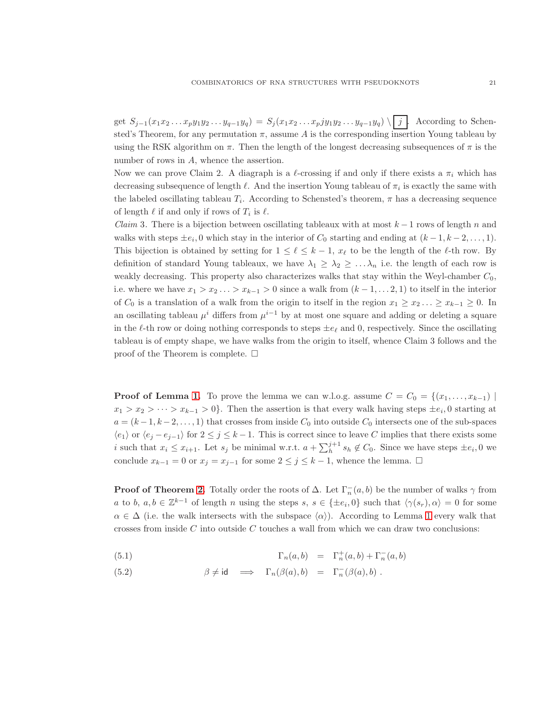get  $S_{j-1}(x_1x_2...x_py_1y_2...y_{q-1}y_q) = S_j(x_1x_2...x_pjy_1y_2...y_{q-1}y_q) \setminus [j]$ . According to Schensted's Theorem, for any permutation  $\pi$ , assume A is the corresponding insertion Young tableau by using the RSK algorithm on  $\pi$ . Then the length of the longest decreasing subsequences of  $\pi$  is the number of rows in A, whence the assertion.

Now we can prove Claim 2. A diagraph is a  $\ell$ -crossing if and only if there exists a  $\pi_i$  which has decreasing subsequence of length  $\ell$ . And the insertion Young tableau of  $\pi_i$  is exactly the same with the labeled oscillating tableau  $T_i$ . According to Schensted's theorem,  $\pi$  has a decreasing sequence of length  $\ell$  if and only if rows of  $T_i$  is  $\ell$ .

*Claim* 3. There is a bijection between oscillating tableaux with at most  $k-1$  rows of length n and walks with steps  $\pm e_i$ , 0 which stay in the interior of  $C_0$  starting and ending at  $(k-1, k-2, \ldots, 1)$ . This bijection is obtained by setting for  $1 \leq \ell \leq k-1$ ,  $x_{\ell}$  to be the length of the  $\ell$ -th row. By definition of standard Young tableaux, we have  $\lambda_1 \geq \lambda_2 \geq \ldots \lambda_n$  i.e. the length of each row is weakly decreasing. This property also characterizes walks that stay within the Weyl-chamber  $C_0$ , i.e. where we have  $x_1 > x_2 \ldots > x_{k-1} > 0$  since a walk from  $(k-1,\ldots,2,1)$  to itself in the interior of  $C_0$  is a translation of a walk from the origin to itself in the region  $x_1 \ge x_2 \dots \ge x_{k-1} \ge 0$ . In an oscillating tableau  $\mu^{i}$  differs from  $\mu^{i-1}$  by at most one square and adding or deleting a square in the  $\ell$ -th row or doing nothing corresponds to steps  $\pm e_{\ell}$  and 0, respectively. Since the oscillating tableau is of empty shape, we have walks from the origin to itself, whence Claim 3 follows and the proof of the Theorem is complete.  $\Box$ 

**Proof of Lemma [1.](#page-8-2)** To prove the lemma we can w.l.o.g. assume  $C = C_0 = \{(x_1, \ldots, x_{k-1}) \mid$  $x_1 > x_2 > \cdots > x_{k-1} > 0$ . Then the assertion is that every walk having steps  $\pm e_i$ , 0 starting at  $a = (k-1, k-2, \ldots, 1)$  that crosses from inside  $C_0$  into outside  $C_0$  intersects one of the sub-spaces  $\langle e_1 \rangle$  or  $\langle e_j - e_{j-1} \rangle$  for  $2 \leq j \leq k-1$ . This is correct since to leave C implies that there exists some i such that  $x_i \leq x_{i+1}$ . Let  $s_j$  be minimal w.r.t.  $a + \sum_{h}^{j+1} s_h \notin C_0$ . Since we have steps  $\pm e_i$ , 0 we conclude  $x_{k-1} = 0$  or  $x_j = x_{j-1}$  for some  $2 \le j \le k-1$ , whence the lemma.  $\Box$ 

**Proof of Theorem [2.](#page-8-0)** Totally order the roots of  $\Delta$ . Let  $\Gamma_n^-(a, b)$  be the number of walks  $\gamma$  from a to b,  $a, b \in \mathbb{Z}^{k-1}$  of length n using the steps  $s, s \in \{\pm e_i, 0\}$  such that  $\langle \gamma(s_r), \alpha \rangle = 0$  for some  $\alpha \in \Delta$  (i.e. the walk intersects with the subspace  $\langle \alpha \rangle$ ). According to Lemma [1](#page-8-2) every walk that crosses from inside  $C$  into outside  $C$  touches a wall from which we can draw two conclusions:

(5.1)  $\Gamma_n(a, b) = \Gamma_n^+(a, b) + \Gamma_n^-(a, b)$ 

(5.2) 
$$
\beta \neq id \implies \Gamma_n(\beta(a),b) = \Gamma_n(\beta(a),b).
$$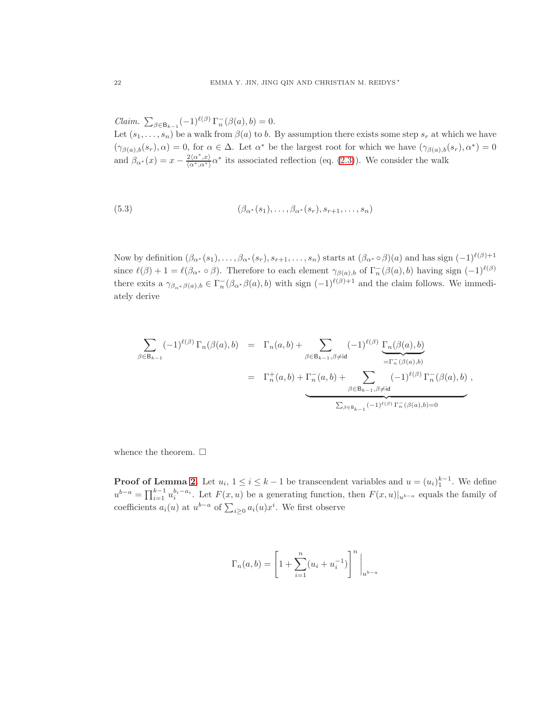Claim.  $\sum_{\beta \in \mathsf{B}_{k-1}} (-1)^{\ell(\beta)} \Gamma_n^-(\beta(a), b) = 0.$ 

Let  $(s_1, \ldots, s_n)$  be a walk from  $\beta(a)$  to b. By assumption there exists some step  $s_r$  at which we have  $(\gamma_{\beta(a),b}(s_r),\alpha) = 0$ , for  $\alpha \in \Delta$ . Let  $\alpha^*$  be the largest root for which we have  $(\gamma_{\beta(a),b}(s_r),\alpha^*)=0$ and  $\beta_{\alpha^*}(x) = x - \frac{2\langle \alpha^*, x \rangle}{\langle \alpha^*, \alpha^* \rangle} \alpha^*$  its associated reflection (eq. [\(2.3\)](#page-6-2)). We consider the walk

(5.3) 
$$
(\beta_{\alpha^*}(s_1), \ldots, \beta_{\alpha^*}(s_r), s_{r+1}, \ldots, s_n)
$$

Now by definition  $(\beta_{\alpha^*}(s_1), \ldots, \beta_{\alpha^*}(s_r), s_{r+1}, \ldots, s_n)$  starts at  $(\beta_{\alpha^*} \circ \beta)(a)$  and has sign  $(-1)^{\ell(\beta)+1}$ since  $\ell(\beta) + 1 = \ell(\beta_{\alpha^*} \circ \beta)$ . Therefore to each element  $\gamma_{\beta(a),b}$  of  $\Gamma_n^-(\beta(a),b)$  having sign  $(-1)^{\ell(\beta)}$ there exits a  $\gamma_{\beta_{\alpha^*}\beta(a),b} \in \Gamma_n^{-}(\beta_{\alpha^*}\beta(a),b)$  with sign  $(-1)^{\ell(\beta)+1}$  and the claim follows. We immediately derive

$$
\sum_{\beta \in \mathsf{B}_{k-1}} (-1)^{\ell(\beta)} \Gamma_n(\beta(a), b) = \Gamma_n(a, b) + \sum_{\beta \in \mathsf{B}_{k-1}, \beta \neq \mathsf{id}} (-1)^{\ell(\beta)} \underbrace{\Gamma_n(\beta(a), b)}_{= \Gamma_n^-(\beta(a), b)}
$$
\n
$$
= \Gamma_n^+(a, b) + \underbrace{\Gamma_n^-(a, b)}_{\beta \in \mathsf{B}_{k-1}, \beta \neq \mathsf{id}} \underbrace{(-1)^{\ell(\beta)} \Gamma_n^-(\beta(a), b)}_{\sum_{\beta \in \mathsf{B}_{k-1}} (-1)^{\ell(\beta)} \Gamma_n^-(\beta(a), b) = 0},
$$

whence the theorem.  $\Box$ 

**Proof of Lemma [2.](#page-8-1)** Let  $u_i$ ,  $1 \le i \le k-1$  be transcendent variables and  $u = (u_i)_1^{k-1}$ . We define  $u^{b-a} = \prod_{i=1}^{k-1} u_i^{b_i-a_i}$ . Let  $F(x, u)$  be a generating function, then  $F(x, u)|_{u^{b-a}}$  equals the family of coefficients  $a_i(u)$  at  $u^{b-a}$  of  $\sum_{i\geq 0} a_i(u)x^i$ . We first observe

$$
\Gamma_n(a,b) = \left[1 + \sum_{i=1}^n (u_i + u_i^{-1})\right]^n \Big|_{u^{b-a}}
$$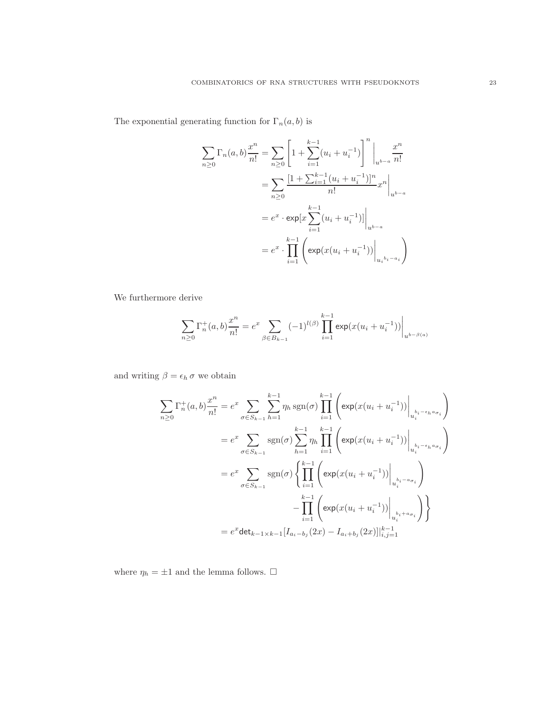The exponential generating function for  $\Gamma_n(a,b)$  is

$$
\sum_{n\geq 0} \Gamma_n(a, b) \frac{x^n}{n!} = \sum_{n\geq 0} \left[ 1 + \sum_{i=1}^{k-1} (u_i + u_i^{-1}) \right]^n \Big|_{u^{b-a}} \frac{x^n}{n!}
$$

$$
= \sum_{n\geq 0} \frac{[1 + \sum_{i=1}^{k-1} (u_i + u_i^{-1})]^n}{n!} x^n \Big|_{u^{b-a}}
$$

$$
= e^x \cdot \exp\left[x \sum_{i=1}^{k-1} (u_i + u_i^{-1})\right] \Big|_{u^{b-a}}
$$

$$
= e^x \cdot \prod_{i=1}^{k-1} \left( \exp(x(u_i + u_i^{-1})) \Big|_{u_i^{b_i - a_i}} \right)
$$

We furthermore derive

$$
\sum_{n\geq 0} \Gamma_n^+(a,b) \frac{x^n}{n!} = e^x \sum_{\beta \in B_{k-1}} (-1)^{l(\beta)} \prod_{i=1}^{k-1} \exp(x(u_i + u_i^{-1})) \Big|_{u^{b-\beta(a)}}
$$

and writing  $\beta = \epsilon_h \sigma$  we obtain

$$
\sum_{n\geq 0} \Gamma_n^+(a, b) \frac{x^n}{n!} = e^x \sum_{\sigma \in S_{k-1}} \sum_{h=1}^{k-1} \eta_h \operatorname{sgn}(\sigma) \prod_{i=1}^{k-1} \left( \exp(x(u_i + u_i^{-1})) \Big|_{u_i^{b_i - \epsilon_h a_{\sigma_i}}} \right)
$$
  
\n
$$
= e^x \sum_{\sigma \in S_{k-1}} \operatorname{sgn}(\sigma) \sum_{h=1}^{k-1} \eta_h \prod_{i=1}^{k-1} \left( \exp(x(u_i + u_i^{-1})) \Big|_{u_i^{b_i - \epsilon_h a_{\sigma_i}}} \right)
$$
  
\n
$$
= e^x \sum_{\sigma \in S_{k-1}} \operatorname{sgn}(\sigma) \left\{ \prod_{i=1}^{k-1} \left( \exp(x(u_i + u_i^{-1})) \Big|_{u_i^{b_i - a_{\sigma_i}}} \right) - \prod_{i=1}^{k-1} \left( \exp(x(u_i + u_i^{-1})) \Big|_{u_i^{b_i + a_{\sigma_i}}} \right) \right\}
$$
  
\n
$$
= e^x \det_{k-1 \times k-1} [I_{a_i - b_j}(2x) - I_{a_i + b_j}(2x)]|_{i,j=1}^{k-1}
$$

where  $\eta_h=\pm 1$  and the lemma follows.  $\Box$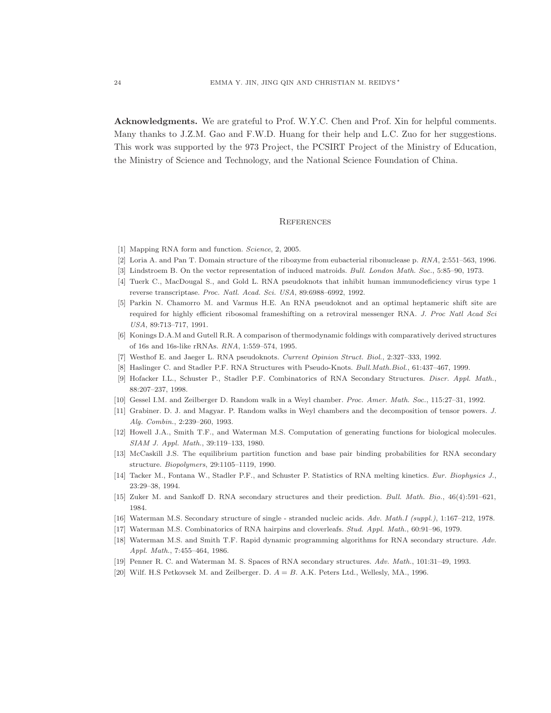Acknowledgments. We are grateful to Prof. W.Y.C. Chen and Prof. Xin for helpful comments. Many thanks to J.Z.M. Gao and F.W.D. Huang for their help and L.C. Zuo for her suggestions. This work was supported by the 973 Project, the PCSIRT Project of the Ministry of Education, the Ministry of Science and Technology, and the National Science Foundation of China.

### **REFERENCES**

- <span id="page-23-14"></span><span id="page-23-10"></span>[1] Mapping RNA form and function. *Science*, 2, 2005.
- <span id="page-23-17"></span>[2] Loria A. and Pan T. Domain structure of the ribozyme from eubacterial ribonuclease p. *RNA*, 2:551–563, 1996.
- <span id="page-23-12"></span>[3] Lindstroem B. On the vector representation of induced matroids. *Bull. London Math. Soc.*, 5:85–90, 1973.
- <span id="page-23-13"></span>[4] Tuerk C., MacDougal S., and Gold L. RNA pseudoknots that inhibit human immunodeficiency virus type 1 reverse transcriptase. *Proc. Natl. Acad. Sci. USA*, 89:6988–6992, 1992.
- [5] Parkin N. Chamorro M. and Varmus H.E. An RNA pseudoknot and an optimal heptameric shift site are required for highly efficient ribosomal frameshifting on a retroviral messenger RNA. *J. Proc Natl Acad Sci USA*, 89:713–717, 1991.
- <span id="page-23-11"></span><span id="page-23-9"></span>[6] Konings D.A.M and Gutell R.R. A comparison of thermodynamic foldings with comparatively derived structures of 16s and 16s-like rRNAs. *RNA*, 1:559–574, 1995.
- <span id="page-23-15"></span>[7] Westhof E. and Jaeger L. RNA pseudoknots. *Current Opinion Struct. Biol.*, 2:327–333, 1992.
- <span id="page-23-6"></span>[8] Haslinger C. and Stadler P.F. RNA Structures with Pseudo-Knots. *Bull.Math.Biol.*, 61:437–467, 1999.
- <span id="page-23-16"></span>[9] Hofacker I.L., Schuster P., Stadler P.F. Combinatorics of RNA Secondary Structures. *Discr. Appl. Math.*, 88:207–237, 1998.
- <span id="page-23-18"></span>[10] Gessel I.M. and Zeilberger D. Random walk in a Weyl chamber. *Proc. Amer. Math. Soc.*, 115:27–31, 1992.
- <span id="page-23-3"></span>[11] Grabiner. D. J. and Magyar. P. Random walks in Weyl chambers and the decomposition of tensor powers. *J. Alg. Combin.*, 2:239–260, 1993.
- <span id="page-23-8"></span>[12] Howell J.A., Smith T.F., and Waterman M.S. Computation of generating functions for biological molecules. *SIAM J. Appl. Math.*, 39:119–133, 1980.
- <span id="page-23-7"></span>[13] McCaskill J.S. The equilibrium partition function and base pair binding probabilities for RNA secondary structure. *Biopolymers*, 29:1105–1119, 1990.
- <span id="page-23-5"></span>[14] Tacker M., Fontana W., Stadler P.F., and Schuster P. Statistics of RNA melting kinetics. *Eur. Biophysics J.*, 23:29–38, 1994.
- <span id="page-23-2"></span>[15] Zuker M. and Sankoff D. RNA secondary structures and their prediction. *Bull. Math. Bio.*, 46(4):591–621, 1984.
- <span id="page-23-1"></span>[16] Waterman M.S. Secondary structure of single - stranded nucleic acids. *Adv. Math.I (suppl.)*, 1:167–212, 1978.
- <span id="page-23-4"></span>[17] Waterman M.S. Combinatorics of RNA hairpins and cloverleafs. *Stud. Appl. Math.*, 60:91–96, 1979.
- [18] Waterman M.S. and Smith T.F. Rapid dynamic programming algorithms for RNA secondary structure. *Adv. Appl. Math.*, 7:455–464, 1986.
- <span id="page-23-19"></span><span id="page-23-0"></span>[19] Penner R. C. and Waterman M. S. Spaces of RNA secondary structures. *Adv. Math.*, 101:31–49, 1993.
- [20] Wilf. H.S Petkovsek M. and Zeilberger. D.  $A = B$ . A.K. Peters Ltd., Wellesly, MA., 1996.